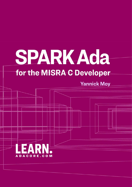# SPARKAda

# for the MISRA C Developer

**Yannick Moy** 

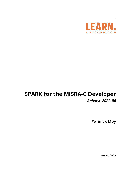

# **SPARK for the MISRA-C Developer** *Release 2022-06*

**Yannick Moy**

**Jun 24, 2022**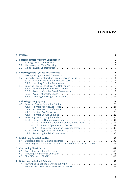# **CONTENTS:**

| 1            | <b>Preface</b><br>3                                                                                                                                       |
|--------------|-----------------------------------------------------------------------------------------------------------------------------------------------------------|
| $\mathbf{2}$ | 5<br><b>Enforcing Basic Program Consistency</b><br>5<br>2.1<br>2.2<br>2.3                                                                                 |
| 3            | <b>Enforcing Basic Syntactic Guarantees</b><br>13<br>3.1<br>3.2<br>3.2.1<br>3.2.2<br>3.3                                                                  |
|              | 3.3.1<br>3.3.2<br>3.3.3<br>3.3.4                                                                                                                          |
|              | 23<br><b>4 Enforcing Strong Typing</b><br>4.1<br>4.1.1<br>4.1.2<br>4.1.3<br>4.1.4<br>4.2<br>4.2.1<br>4.2.1.1 Arithmetic Operations on Arithmetic Types 31 |
|              | 4.2.1.3 Bitwise Operations on Unsigned Integers 33<br>4.2.2<br>4.2.3                                                                                      |
|              | 39<br><b>5 Initializing Data Before Use</b><br>5.1<br>5.2<br>Detecting Partial or Redundant Initialization of Arrays and Structures 44                    |
|              | 47<br><b>6</b> Controlling Side Effects<br>6.1<br>6.2<br>6.3                                                                                              |
| 7            | <b>Detecting Undefined Behavior</b><br>53<br>7.1<br>7.2                                                                                                   |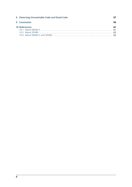| 8 Detecting Unreachable Code and Dead Code | 57 |
|--------------------------------------------|----|
| 9 Conclusion                               | 59 |
| <b>10 References</b>                       | 61 |
|                                            |    |
|                                            |    |
|                                            |    |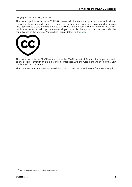### Copyright © 2018 – 2022, AdaCore

This book is published under a CC BY-SA license, which means that you can copy, redistribute, remix, transform, and build upon the content for any purpose, even commercially, as long as you give appropriate credit, provide a link to the license, and indicate if changes were made. If you remix, transform, or build upon the material, you must distribute your contributions under the same license as the original. You can find license details on this page<sup>1</sup>



This book presents the SPARK technology — the SPARK subset of Ada and its supporting static analysis tools — through an example-driven comparison with the rules in the widely known MISRA C subset of the C language.

This document was prepared by Yannick Moy, with contributions and review from Ben Brosgol.

<sup>1</sup> http://creativecommons.org/licenses/by-sa/4.0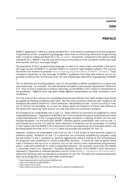**ONE**

# **PREFACE**

<span id="page-7-0"></span>MISRA C appeared in 1998 as a coding standard for C; it focused on avoiding error-prone programming features of the C programming language rather than on enforcing a particular programming style. A study of coding standards for C by <code>Les</code> <code>Hatton $^2$  found that, compared to ten typical coding  $\,$ </code> standards for C, MISRA C was the only one to focus exclusively on error avoidance rather than style enforcement, and by a very large margin.

The popularity of the C programming language, as w[e](#page-7-1)ll as its many traps and pitfalls, have led to the huge success of MISRA C in domains [where C is u](https://www.leshatton.org/Documents/MISRAC.pdf)sed for high-integrity sofware. This success has driven tool vendors to propose many competing implementations of MISRA C checkers<sup>3</sup>. Tools compete in particular on the coverage of MISRA C guidelines that they help enforce, as it is impossible to enforce the 16 directives and 143 rules (collectively referred to as guidelines) of MISRA C.

The 16 directives are broad guideli[nes, and it is not possible to define compliance in a uniq](https://en.wikipedia.org/wiki/MISRA_C)[u](#page-7-2)e and automated way. For example, *"all code should be traceable to documented requirements"* (Directive 3.1). Thus no tool is expected to enforce directives, as the MISRA C:2012 states in introduction to the guidelines: *"different tools may place widely different interpretations on what constitutes a noncompliance."*

The 143 rules on the contrary are completely and precisely defined, and *"static analysis tools should be capable of checking compliance with rules"*. But the same sentence continues with *"subject to the limitations described in Section 6.5"*, which addresses "decidability of rules". It turns out that 27 rules out of 143 are not decidable, so no tool can always detect all violations of these rules without at the same time reporting "false alarms" on code that does not constitute a violation.

An example of an undecidable rule is rule 1.3: *"There shall be no occurrence of undefined or critical unspecified behaviour."* Appendix H of MISRA:C 2012 lists hundreds of cases of undefined and critical unspecified behavior in the C programming language standard, a majority of which are not individually decidable. For the most part, MISRA C checkers ignore undecidable rules such as rule 1.3 and instead focus on the 116 rules for which detection of violations can be automated. It is telling in that respect that the MISRA C:2012 document and its accompanying set of examples (which can be downloaded from the MISRA website $^4$ ) does not provide any example for rule 1.3.

However, violations of undecidable rules such as rule 1.3 are known to have dramatic impact on software quality. Violations of rule 1.3 in particular are commonly amplified by compilers using the permission in the C standard to op[ti](#page-7-3)mize aggressively without looking at the consequences for programs with unde[fined or critical](https://www.misra.org.uk) unspecified behavior. It would be valid to ignore these rules if violations did not occur in practice, but on the contrary even experienced programmers write C code with undefined or critical unspecified behavior. An example comes from the MISRA C Committee itself in its "Appendix I: Example deviation record" of the MISRA C:2012 document,  $\epsilon$ repeated in "Appendix A: Example deviation record" of the MISRA C: Compliance 2016 document $^5$ , where the following code is proposed as a deviation of rule 10.6 *"The value of a composite expression shall not be assigned to an object with wider essential type"*:

<sup>2</sup> https://www.leshatton.org/Documents/MISRAC.pdf

<sup>3</sup> https://en.wikipedia.org/wiki/MISRA\_C

<sup>4</sup> https://www.misra.org.uk

<span id="page-7-3"></span><span id="page-7-2"></span><span id="page-7-1"></span><sup>5</sup> https://www.misra.org.uk/LinkClick.aspx?fileticket=w\_Syhpkf7xA%3d&tabid=57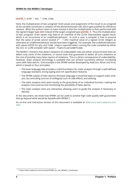### **uint32 t** prod = qty  $*$  time step;

Here, the multiplication of two unsigned 16-bit values and assignment of the result to an unsigned 32-bit variable constitutes a violation of the aforementioned rule, which gets justified for efficiency reasons. What the authors seem to have missed is that the multiplication is then performed with the signed integer type **int** instead of the target unsigned type **uint32\_t**. Thus the multiplication of two unsigned 16-bit values may lead to an overflow of the 32-bit intermediate signed result, which is an occurrence of an undefined behavior. In such a case, a compiler is free to assume that the value of prod cannot exceed  $2^{31}$  - 1 (the maximal value of a signed 32-bit integer) as otherwise an undefined behavior would have been triggered. For example, the undefined behavior with values 65535 for qty and time step is reported when running the code compiled by either the GCC or LLVM compiler with option -fsanitize=undefined.

The MISRA C checkers that detect violations of undecidable rules are either unsound tools that can detect only some of the violations, or sound tools that guarantee to detect all such violations at the cost of possibly many false reports of violations. This is a direct consequence of undecidability. However, static analysis technology is available that can achieve soundness without inundating users with false alarms. One example is the SPARK toolset developed by AdaCore, Altran and Inria, which is based on four principles:

- The base language Ada provides a solid foundation for static analysis through a well-defined language standard, strong typing and rich specification features.
- The SPARK subset of Ada restricts the base language in essential ways to support static analysis, by controlling sources of ambiguity such as side-effects and aliasing.
- The static analysis tools work mostly at the granularity of an individual function, making the analysis more precise and minimizing the possibility of false alarms.
- The static analysis tools are interactive, allowing users to guide the analysis if necessary or desired.

In this document, we show how SPARK can be used to achieve high code quality with guarantees that go beyond what would be feasible with MISRA C.

An on-line and interactive version of this document is available at AdaCore's learn.adacore.com site $^6$ .

<sup>&</sup>lt;sup>6</sup> https://learn.adacore.com/courses/SPARK\_for\_the\_MISRA\_C\_Developer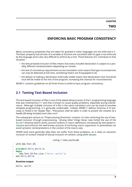# **ENFORCING BASIC PROGRAM CONSISTENCY**

<span id="page-9-0"></span>Many consistency properties that are taken for granted in other languages are not enforced in C. The basic property that all uses of a variable or function are consistent with its type is not enforced by the language and is also very difficult to enforce by a tool. Three features of C contribute to that situation:

- the textual-based inclusion of files means that every included declaration is subject to a possibly different reinterpretation depending on context.
- the lack of consistency requirements across translation units means that type inconsistencies can only be detected at link time, something linkers are ill-equipped to do.
- the default of making a declaration externally visible means that declarations that should be local will be visible to the rest of the program, increasing the chances for inconsistencies.

MISRA C contains guidelines on all three fronts to enforce basic program consistency.

# <span id="page-9-1"></span>**2.1 Taming Text-Based Inclusion**

The text-based inclusion of files is one of the dated idiosyncracies of the C programming language that was inherited by C++ and that is known to cause quality problems, especially during maintenance. Although multiple inclusion of a file in the same translation unit can be used to emulate template programming, it is generally undesirable. Indeed, MISRA C defines Directive 4.10 precisely to forbid it for header files: *"Precautions shall be taken in order to prevent the contents of a header file being included more than once"*.

The subsequent section on "Preprocessing Directives" contains 14 rules restricting the use of textbased inclusion through preprocessing. Among other things these rules forbid the use of the *#undef* directive (which works around conflicts in macro definitions introduced by text-based inclusion) and enforces the well-known practice of enclosing macro arguments in parentheses (to avoid syntactic reinterpretations in the context of the macro use).

SPARK (and more generally Ada) does not suffer from these problems, as it relies on semantic inclusion of context instead of textual inclusion of content, using **with** clauses:

Listing 1: hello\_world.adb

```
1 with Ada.Text_IO;
2
3 procedure Hello_World is
4 begin
5 Ada.Text IO.Put Line ("hello, world!");
  end Hello World;
```
### **Runtime output**

hello, world!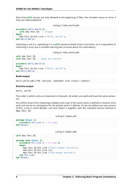Note that **with** clauses are only allowed at the beginning of files; the compiler issues an error if they are used elsewhere:

```
Listing 2: hello_world.adb
```

```
1 procedure Hello_World is
2 with Ada.Text_IO; -- Illegal
3 begin
4 Ada.Text IO.Put Line ("hello, world!");
  end Hello World;
```
Importing a unit (i.e., specifying it in a **with** clause) multiple times is harmless, as it is equivalent to importing it once, but a compiler warning lets us know about the redundancy:

Listing 3: hello\_world.adb

```
1 with Ada.Text_IO;
2 with Ada.Text_IO; -- Legal but useless
\overline{3}4 procedure Hello_World is
5 begin
6 Ada.Text IO.Put Line ("hello, world!");
7 end Hello_World;
```
### **Build output**

hello world.adb:2:06: warning: redundant with clause [-gnatwr]

### **Runtime output**

hello, world!

The order in which units are imported is irrelevant. All orders are valid and have the same semantics.

No conflict arises from importing multiple units, even if the same name is defined in several, since each unit serves as namespace for the entities which it defines. So we can define our own version of Put Line in some Helper unit and import it together with the standard version defined in Ada.Text\_IO:

Listing 4: helper.ads

```
1 package Helper is
2 procedure Put_Line (S : String);
3 end Helper;
```
Listing 5: helper.adb

```
1 with Ada.Text_IO;
\overline{2}3 package body Helper is
4 procedure Put_Line (S : String) is
5 begin
6 Ada.Text IO.Put Line ("Start helper version");
7 Ada.Text IO.Put Line (S):
8 Ada.Text IO.Put Line ("End helper version");
9 end Put Line;
10 end Helper;
```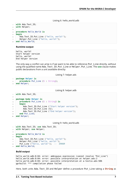```
Listing 6: hello_world.adb
```

```
1 with Ada.Text_IO;
2 with Helper;
3
4 procedure Hello_World is
5 begin
6 Ada.Text IO.Put Line ("hello, world!");
7 Helper.Put_Line ("hello, world!");
  8 end Hello_World;
```
### **Runtime output**

hello, world! Start helper version hello, world! End helper version

The only way a conflict can arise is if we want to be able to reference Put\_Line directly, without using the qualified name Ada.Text\_IO.Put\_Line or Helper.Put\_Line. The **use** clause makes public declarations from a unit available directly:

Listing 7: helper.ads

```
1 package Helper is
<sup>2</sup> procedure Put Line (S : String);
3 end Helper;
```
Listing 8: helper.adb

```
1 with Ada.Text_IO;
\overline{2}3 package body Helper is
4 procedure Put_Line (S : String) is
5 begin
6 Ada.Text_IO.Put_Line ("Start helper version");
7 Ada.Text IO.Put Line (S);
8 Ada.Text IO.Put Line ("End helper version");
9 end Put Line;
10 end Helper;
```
Listing 9: hello\_world.adb

```
1 with Ada.Text_IO; use Ada.Text_IO;
2 with Helper; use Helper;
3
4 procedure Hello_World is
5 begin
6 Ada.Text IO.Put Line ("hello, world!");
7 Helper.Put Line ("hello, world!");
8 Put_Line ("hello, world!"); -- ERROR
  9 end Hello_World;
```
### **Build output**

```
hello world.adb:8:04: error: ambiguous expression (cannot resolve "Put Line")
hello_world.adb:8:04: error: possible interpretation at helper.ads:2
hello_world.adb:8:04: error: possible interpretation at a-textio.ads:506
gprbuild: *** compilation phase failed
```
Here, both units Ada.Text\_IO and Helper define a procedure Put\_Line taking a **String** as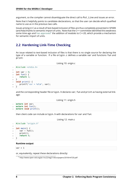argument, so the compiler cannot disambiguate the direct call to Put\_Line and issues an error.

Note that it helpfully points to candidate declarations, so that the user can decide which qualified name to use as in the previous two calls.

Issues arising in C as a result of text-based inclusion of files are thus completely prevented in SPARK (and Ada) thanks to semantic import of units. Note that the C++ committee identified this weakness some time ago and has approved<sup>7</sup> the addition of *modules* to C++20, which provide a mechanism for semantic import of units.

# **2.2 Hardeni[ng Link-Ti](http://www.open-std.org/jtc1/sc22/wg21/docs/papers/2018/n4720.pdf)[m](#page-12-1)e Checking**

<span id="page-12-0"></span>An issue related to text-based inclusion of files is that there is no single source for declaring the type of a variable or function. If a file origin.c defines a variable var and functions fun and print:

Listing 10: origin.c

```
1 #include <stdio.h>
2
\frac{1}{3} int var = 0;
4 int fun() {
5 return 1;
6 }
7 void print() {
\mathbf{s} printf("var = %d\n", var);
9 }
```
and the corresponding header file origin. h declares var, fun and print as having external linkage:

### Listing 11: origin.h

```
1 extern int var;
2 extern int fun();
 extern void print();
```
then client code can include origin.h with declarations for var and fun:

### Listing 12: main.c

```
1 #include "origin.h"
2
3 int main() {
4 var = fun();
5 print();
6 return 0;
7 }
```
### **Runtime output**

 $var = 1$ 

or, equivalently, repeat these declarations directly:

<span id="page-12-1"></span><sup>7</sup> http://www.open-std.org/jtc1/sc22/wg21/docs/papers/2018/n4720.pdf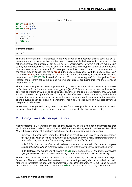Listing 13: main.c

```
1 extern int var;
2 extern int fun();
3 extern void print();
4
5 int main() {
6 var = fun();
7 print();
8 return 0;
9 }
```
### **Runtime output**

 $var = 1$ 

Then, if an inconsistency is introduced in the type of var of fun between these alternative declarations and their actual type, the compiler cannot detect it. Only the linker, which has access to the set of object files for a program, can detect such inconsistencies. However, a linker's main task is to link, not to detect inconsistencies, and so inconsistencies in the type of variables and functions in most cases cannot be detected. For example, most linkers cannot detect if the type of var or the return type of fun is changed to **float** in the declarations above. With the declaration of var changed to **float**, the above program compiles and runs without errors, producing the erroneous output var = 1065353216 instead of var =1. With the return type of fun changed to **float** instead, the program still compiles and runs without errors, producing this time the erroneous output var  $= 0$ .

The inconsistency just discussed is prevented by MISRA C Rule 8.3 *"All declarations of an object or function shall use the same names and type qualifiers"*. This is a decidable rule, but it must be enforced at system level, looking at all translation units of the complete program. MISRA C Rule 8.6 also requires a unique definition for a given identifier across translation units, and Rule 8.5 requires that an external declaration shared between translation units comes from the same file. There is even a specific section on "Identifiers" containing 9 rules requiring uniqueness of various categories of identifiers.

SPARK (and more generally Ada) does not suffer from these problems, as it relies on semantic inclusion of context using **with** clauses to provide a unique declaration for each entity.

# <span id="page-13-0"></span>**2.3 Going Towards Encapsulation**

Many problems in C stem from the lack of encapsulation. There is no notion of namespace that would allow a file to make its declarations available without risking a conflict with other files. Thus MISRA C has a number of guidelines that discourage the use of external declarations:

- Directive 4.8 encourages hiding the definition of structures and unions in implementation files (.c files) when possible: *"If a pointer to a structure or union is never dereferenced within a translation unit, then the implementation of the object should be hidden."*
- Rule 8.7 forbids the use of external declarations when not needed: *"Functions and objects should not be defined with external linkage if they are referenced in only one translation unit."*
- Rule 8.8 forces the explicit use of keyword **static** when appropriate: *"The static storage class specifier shall be used in all declarations of objects and functions that have internal linkage."*

The basic unit of modularization in SPARK, as in Ada, is the *package*. A package always has a spec (in an .ads file), which defines the interface to other units. It generally also has a body (in an .adb file), which completes the spec with an implementation. Only declarations from the package spec are visible from other units when they import (**with**) the package. In fact, only declarations from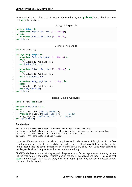what is called the "visible part" of the spec (before the keyword **private**) are visible from units that **with** the package.

```
Listing 14: helper.ads
```

```
1 package Helper is
2 procedure Public_Put_Line (S : String);
3 private
4 procedure Private Put Line (S : String);
  5 end Helper;
```
### Listing 15: helper.adb

```
1 with Ada.Text_IO;
2
3 package body Helper is
4 procedure Public_Put_Line (S : String) is
5 begin
6 Ada.Text_IO.Put_Line (S);
<sup>7</sup> end Public Put Line;
8
9 procedure Private_Put_Line (S : String) is
10 begin
11 Ada.Text IO.Put Line (S);
12 end Private Put Line;
13
14 procedure Body_Put_Line (S : String) is
15 begin
16 Ada.Text_IO.Put_Line (S);
17 end Body_Put_Line;
18 end Helper;
```
Listing 16: hello\_world.adb

```
1 with Helper; use Helper;
\overline{2}3 procedure Hello_World is
4 begin
5 Public Put Line ("hello, world!");
6 Private_Put_Line ("hello, world!"); -- ERROR
     7 Body_Put_Line ("hello, world!"); -- ERROR
  8 end Hello_World;
```
### **Build output**

hello world.adb:6:04: error: "Private Put Line" is not visible hello world.adb:6:04: error: non-visible (private) declaration at helper.ads:4 hello\_world.adb:7:04: error: "Body\_Put\_Line" is undefined gprbuild: \*\*\* compilation phase failed

Note the different errors on the calls to the private and body versions of Put\_Line. In the first case the compiler can locate the candidate procedure but it is illegal to call it from Hello\_World, in the second case the compiler does not even know about any Body Put Line when compiling Hello World since it only looks at the spec and not the body.

SPARK (and Ada) also allow defining a type in the private part of a package spec while simply declaring the type name in the public ("visible") part of the spec. This way, client code  $-$  i.e., code that **with**'s the package — can use the type, typically through a public API, but have no access to how the type is implemented: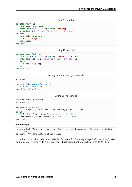Listing 17: vault.ads

```
1 package Vault is
2 type Data is private;
3 function Get (X : Data) return Integer;
4 procedure Set (X : out Data; Value : Integer);
5 private
6 type Data is record
7 Val : Integer;
8 end record;
9 end Vault;
```
Listing 18: vault.adb

```
1 package body Vault is
2 function Get (X : Data) return Integer is (X.Val);
3 procedure Set (X : out Data; Value : Integer) is
4 begin
5 X.Val := Value;
6 end Set;
7 end Vault;
```
Listing 19: information\_system.ads

```
1 with Vault;
\overline{2}3 package Information_System is
4 Archive : Vault.Data;
5 end Information_System;
```
Listing 20: hacker.adb

```
1 with Information System:
2 with Vault;
3
4 procedure Hacker is
5 V : Integer := Vault.Get (Information_System.Archive);
6 begin
7 Vault.Set (Information System.Archive, V + 1);
8 Information_System.Archive.Val := 0; -- ERROR
9 end Hacker;
```
**Build output**

```
hacker.adb:8:22: error: invalid prefix in selected component "Information System.
↪Archive"
gprbuild: *** compilation phase failed
```
Note that it is possible to declare a variable of type Vault. Data in package Information System and to get/set it through its API in procedure Hacker, but not to directly access its Val field.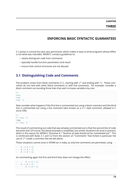# **ENFORCING BASIC SYNTACTIC GUARANTEES**

<span id="page-17-0"></span>C's syntax is concise but also very permissive, which makes it easy to write programs whose effect is not what was intended. MISRA C contains guidelines to:

- clearly distinguish code from comments
- specially handle function parameters and result
- ensure that control structures are not abused

# <span id="page-17-1"></span>**3.1 Distinguishing Code and Comments**

The problem arises from block comments in C, starting with  $/*$  and ending with  $*/$ . These comments do not nest with other block comments or with line comments. For example, consider a block comment surrounding three lines that each increase variable a by one:

*/\* ++a; ++a; ++a; \*/*

Now consider what happens if the first line is commented out using a block comment and the third line is commented out using a line comment (also known as a C++ style comment, allowed in C since C99):

```
/*
/* ++a; */
++a;// ++a; */
```
The result of commenting out code that was already commented out is that the second line of code becomes live! Of course, the above example is simplified, but similar situations do arise in practice, which is the reason for MISRA C Directive 4.1 *"Sections of code should not be 'commented out'"*. This is reinforced with Rules 3.1 and 3.2 from the section on "Comments" that forbid in particular the use of /\* inside a comment like we did above.

These situations cannot arise in SPARK (or in Ada), as only line comments are permitted, using *--*:

*-- A := A + 1; -- A := A + 1; -- A := A + 1;*

So commenting again the first and third lines does not change the effect:

*-- -- A := A + 1; -- A := A + 1; -- -- A := A + 1;*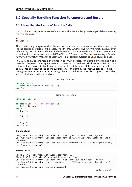# <span id="page-18-0"></span>**3.2 Specially Handling Function Parameters and Result**

## <span id="page-18-1"></span>**3.2.1 Handling the Result of Function Calls**

It is possible in C to ignore the result of a function call, either implicitly or else explicitly by converting the result to **void**:

f(); (**void**)f();

This is particularly dangerous when the function returns an error status, as the caller is then ignoring the possibility of errors in the callee. Thus the MISRA C Directive 4.7: *"If a function returns error information, then that error information shall be tested"*. In the general case of a function returning a result which is not an error status, MISRA C Rule 17.7 states that *"The value returned by a function having non-void return type shall be used"*, where an explicit conversion to **void** counts as a use.

In SPARK, as in Ada, the result of a function call must be used, for example by assigning it to a variable or by passing it as a parameter, in contrast with procedures (which are equivalent to voidreturning functions in C). SPARK analysis also checks that the result of the function is actually used to influence an output of the calling subprogram. For example, the first two calls to F in the following are detected as unused, even though the result of the function call is assigned to a variable, which is itself used in the second case:

Listing 1: fun.ads

```
1 package Fun is
2 function F return Integer is (1);
3 end Fun;
```
Listing 2: use\_f.adb

```
1 with Fun; use Fun;
\overline{2}3 procedure Use_F (Z : out Integer) is
4 X, Y : Integer;
5 begin
6 \times X := F:
7
8 Y := F;
9 \times X := Y;10
11 Z := F;
12 end Use_F;
```
### **Build output**

```
use f.adb:4:04: warning: variable "X" is assigned but never read [-gnatwm]
use_f.adb:6:04: warning: useless assignment to "X", value overwritten at line 9 [-
 <sub>→</sub>gnatwml
use f.adb:9:04: warning: possibly useless assignment to "X", value might not be.
 ↪referenced [-gnatwm]
```
### **Prover output**

```
Phase 1 of 2: generation of Global contracts ...
Phase 2 of 2: analysis of data and information flow ...
use f.adb:4:04: warning: variable "X" is assigned but never read [-gnatwm]
use_f.adb:6:04: warning: useless assignment to "X", value overwritten at line 9 [-
⇒gnatwml
use f.adb:6:06: warning: unused assignment
```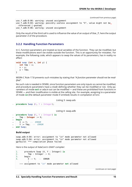```
use f.adb:8:06: warning: unused assignment
use_f.adb:9:04: warning: possibly useless assignment to "X", value might not be<sub>u</sub>
↪referenced [-gnatwm]
use_f.adb:9:06: warning: unused assignment
```
Only the result of the third call is used to influence the value of an output of Use\_F, here the output parameter Z of the procedure.

### <span id="page-19-0"></span>**3.2.2 Handling Function Parameters**

In C, function parameters are treated as local variables of the function. They can be modified, but these modifications won't be visible outside the function. This is an opportunity for mistakes. For example, the following code, which appears to swap the values of its parameters, has in reality no effect:

```
void swap (int x, int y) {
   int tmp = x;
   x = y;v = tmp:
}
```
MISRA C Rule 17.8 prevents such mistakes by stating that *"A function parameter should not be modified"*.

No such rule is needed in SPARK, since function parameters are only inputs so cannot be modified, and procedure parameters have a *mode* defining whether they can be modified or not. Only parameters of mode **out** or ada:*in out* can be modified — and these are prohibited from functions in SPARK — and their modification is visible at the calling site. For example, assigning to a parameter of mode **in** (the default parameter mode if omitted) results in compilation errors:

```
Listing 3: swap.ads
```

```
procedure Swap (X, Y : Integer);
```
Listing 4: swap.adb

```
1 procedure Swap (X, Y : Integer) is
2 \quad \text{Imp} : Integer := X;
3 begin
4 X := Y; -- ERROR
5 Y := Tmp; -- ERROR
  6 end Swap;
```
### **Build output**

```
swap.adb:4:04: error: assignment to "in" mode parameter not allowed
swap.adb:5:04: error: assignment to "in" mode parameter not allowed
gprbuild: *** compilation phase failed
```
Here is the output of AdaCore's GNAT compiler:

```
1. procedure Swap (X, Y : Integer) is
2. Tmp : Integer := X;<br>3. begin
       3. begin
4. X := Y; -- ERROR
          |
  >>> assignment to "in" mode parameter not allowed
```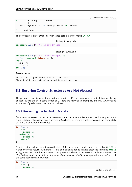```
5. Y := Tmp; -- ERROR
         |
  >>> assignment to "in" mode parameter not allowed
6. end Swap;
```
The correct version of Swap in SPARK takes parameters of mode **in out**:

Listing 5: swap.ads

```
procedure Swap (X, Y : in out Integer);
```
Listing 6: swap.adb

```
1 procedure Swap (X, Y : in out Integer) is
2 Tmp : constant Integer := X;
3 begin
4 \times X := Y:
5 Y := Tmp;
  end Swap;
```
### **Prover output**

Phase 1 of 2: generation of Global contracts ... Phase 2 of 2: analysis of data and information flow ...

# <span id="page-20-0"></span>**3.3 Ensuring Control Structures Are Not Abused**

The previous issue (ignoring the result of a function call) is an example of a control structure being abused, due to the permissive syntax of C. There are many such examples, and MISRA C contains a number of guidelines to prevent such abuse.

### <span id="page-20-1"></span>**3.3.1 Preventing the Semicolon Mistake**

Because a semicolon can act as a statement, and because an if-statement and a loop accept a simple statement (possibly only a semicolon) as body, inserting a single semicolon can completely change the behavior of the code:

```
int func() {
   if (\theta)return 1;
   while (1)
      return 0;
   return 0;
}
```
As written, the code above returns with status 0. If a semicolon is added after the first line (**if** (0); ), then the code returns with status 1. If a semicolon is added instead after the third line (**while** (1);), then the code does not return. To prevent such surprises, MISRA C Rule 15.6 states that *"The body of an iteration-statement or a selection-statement shall be a compound statement"* so that the code above must be written:

```
int func() {
  if (0) {
      return 1;
```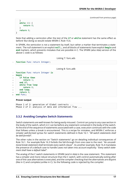```
}
while (1) {
   return 0;
}
return 0;
```
}

Note that adding a semicolon after the test of the **if** or **while** statement has the same effect as before! But doing so would violate MISRA C Rule 15.6.

In SPARK, the semicolon is not a statement by itself, but rather a marker that terminates a statement. The null statement is an explicit **null**;, and all blocks of statements have explicit **begin** and **end** markers, which prevents mistakes that are possible in C. The SPARK (also Ada) version of the above C code is as follows:

Listing 7: func.ads

```
function Func return Integer;
```
Listing 8: func.adb

```
1 function Func return Integer is
2 begin
3 if False then
4 return 1;
5 end if;
6 while True loop
7 return 0;
8 end loop;
9 return 0;
10 end Func;
```
**Prover output**

Phase 1 of 2: generation of Global contracts ... Phase 2 of 2: analysis of data and information flow ...

### <span id="page-21-0"></span>**3.3.2 Avoiding Complex Switch Statements**

Switch statements are well-known for being easily misused. Control can jump to any case section in the body of the switch, which in C can be before any statement contained in the body of the switch. At the end of the sequence of statements associated with a case, execution continues with the code that follows unless a break is encountered. This is a recipe for mistakes, and MISRA C enforces a simpler *well-formed* syntax for switch statements defined in Rule 16.1: *"All switch statements shall be well-formed"*.

The other rules in the section on "Switch statements" go on detailing individual consequences of Rule 16.1. For example Rule 16.3 forbids the fall-through from one case to the next: *"An unconditional break statement shall terminate every switch-clause"*. As another example, Rule 16.4 mandates the presence of a default case to handle cases not taken into account explicitly: *"Every switch statement shall have a default label"*.

The analog of the C switch statements in SPARK (and in Ada) is the case statement. This statement has a simpler and more robust structure than the C switch, with control automatically exiting after one of the case alternatives is executed, and the compiler checking that the alternatives are disjoint (like in C) and complete (unlike in C). So the following code is rejected by the compiler: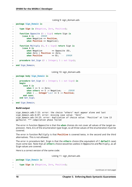```
Listing 9: sign_domain.ads
```

```
1 package Sign_Domain is
2
3 type Sign is (Negative, Zero, Positive);
\overline{A}5 function Opposite (A : Sign) return Sign is
6 (case A is -- ERROR
7 when Negative => Positive,
8 when Positive => Negative);
9
10 function Multiply (A, B : Sign) return Sign is
11 (case A is
12 when Negative \Rightarrow Opposite (B),
13 when Zero | Positive => Zero,
14 when Positive => B); -- ERROR
15
16 procedure Get Sign (X : Integer: S : out Sign);
17
18 end Sign Domain;
```
Listing 10: sign\_domain.adb

```
1 package body Sign_Domain is
\overline{2}3 procedure Get_Sign (X : Integer; S : out Sign) is
4 begin
5 case X is
6 when 0 => S := Zero;
7 when others => S := Negative; -- ERROR
8 when 1 .. Integer'Last => S := Positive;
9 end case;
10 end Get Sign;
11
12 end Sign Domain;
```
### **Build output**

```
sign_domain.adb:7:15: error: the choice "others" must appear alone and last
sign_domain.ads:6:07: error: missing case value: "Zero"
sign domain.ads:14:15: error: duplication of choice value: "Positive" at line 13
gprbuild: *** compilation phase failed
```
The error in function Opposite is that the **when** choices do not cover all values of the target expression. Here, A is of the enumeration type Sign, so all three values of the enumeration must be covered.

The error in function Multiply is that **Positive** is covered twice, in the second and the third alternatives. This is not allowed.

The error in procedure Get\_Sign is that the **others** choice (the equivalent of C **default** case) must come last. Note that an **others** choice would be useless in Opposite and Multiply, as all Sign values are covered.

Here is a correct version of the same code:

Listing 11: sign\_domain.ads

```
1 package Sign_Domain is
3 type Sign is (Negative, Zero, Positive);
```
(continues on next page)

 $\overline{2}$ 

4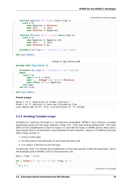```
5 function Opposite (A : Sign) return Sign is
6 (case A is
7 when Negative => Positive,
8 when Zero => Zero,
9 when Positive => Negative);
10
11 function Multiply (A, B : Sign) return Sign is
12 (case A is
13 when Negative => Opposite (B),<br>
14 when Zero => Zero,
14 when Zero => Zero,
15 when Positive => B);
16
17 procedure Get_Sign (X : Integer; S : out Sign);
18
19 end Sign_Domain;
```
Listing 12: sign\_domain.adb

```
1 package body Sign_Domain is
\overline{2}3 procedure Get_Sign (X : Integer; S : out Sign) is
4 begin
5 case X is
6 \quad \text{when} \quad 0 \implies S := \text{Zero};7 when 1 .. Integer'Last => S := Positive;
8 when others => S := Negative;
9 end case;
10 end Get Sign;
11
12 end Sign_Domain;
```
### **Prover output**

```
Phase 1 of 2: generation of Global contracts ...
Phase 2 of 2: analysis of data and information flow ...
sign domain.ads:17:37: info: initialization of "S" proved
```
### <span id="page-23-0"></span>**3.3.3 Avoiding Complex Loops**

Similarly to C switches, for-loops in C can become unreadable. MISRA C thus enforces a simpler *well-formed* syntax for for-loops, defined in Rule 14.2: *"A for loop shall be well-formed"*. The main effect of this simplification is that for-loops in C look like for-loops in SPARK (and in Ada), with a *loop counter* that is incremented or decremented at each iteration. Section 8.14 defines precisely what a loop counter is:

- 1. It has a scalar type;
- 2. Its value varies monotonically on each loop iteration; and
- 3. It is used in a decision to exit the loop.

In particular, Rule 14.2 forbids any modification of the loop counter inside the loop body. Here's the example used in MISRA C:2012 to illustrate this rule:

```
bool_t flag = false;for ( int16_t i = 0; ( i < 5 ) && !flag; i^{++} )
{
  if ( C )
```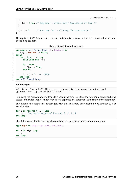```
{
    flag = true; /* Compliant - allows early termination of loop */
  }
  i = i + 3; /* Non-compliant - altering the loop counter */
}
```
The equivalent SPARK (and Ada) code does not compile, because of the attempt to modify the value of the loop counter:

Listing 13: well formed loop.adb

```
1 procedure Well_Formed_Loop (C : Boolean) is
2 Flag : Boolean := False;
3 begin
4 for I in 0 .. 4 loop
5 exit when not Flag;
6
7 if C then
8 Flag := True;
9 end if;
10
11 I := I + 3; -- ERROR
12 end loop;
13 end Well_Formed_Loop;
```
### **Build output**

well formed loop.adb:11:07: error: assignment to loop parameter not allowed gprbuild: \*\*\* compilation phase failed

Removing the problematic line leads to a valid program. Note that the additional condition being tested in the C for-loop has been moved to a separate exit statement at the start of the loop body.

SPARK (and Ada) loops can increase (or, with explicit syntax, decrease) the loop counter by 1 at each iteration.

```
for I in reverse 0 .. 4 loop
   ... -- Successive values of I are 4, 3, 2, 1, 0
end loop;
```
SPARK loops can iterate over any discrete type; i.e., integers as above or enumerations:

```
type Sign is (Negative, Zero, Positive);
for S in Sign loop
  ...
end loop;
```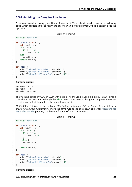### **3.3.4 Avoiding the Dangling Else Issue**

<span id="page-25-0"></span>C does not provide a closing symbol for an if-statement. This makes it possible to write the following code, which appears to try to return the absolute value of its argument, while it actually does the opposite:

```
Listing 14: main.c
```

```
1 #include <stdio.h>
2
3 int absval (int x) {
4 int result = x;
\mathbf{1} \mathbf{f} \quad (x \geq 0)6 if (x == 0)7 result = 0;
8 else
9 \quad result = -x;
10 return result;
11 \quad \}12
13 int main() {
14 printf("absval(5) = \%d\n", absval(5));
15 printf("absval(0) = %d\n", absval(0));
16 printf("absval(-10) = %d\n", absval(-10));
17 }
```
### **Runtime output**

absval $(5) = -5$ absval $(0) = 0$ absval $(-10) = -10$ 

The warning issued by GCC or LLVM with option -Wdangling-else (implied by -Wall) gives a clue about the problem: although the **else** branch is written as though it completes the outer if-statement, in fact it completes the inner if-statement.

MISRA C Rule 15.6 avoids the problem: *"The body of an iteration-statement or a selection-statement shall be a compound statement"*. That's the same rule as the one shown earlier for *Preventing the Semicolon Mistake* (page 16). So the code for absval must be written:

Listing 15: main.c

```
1 #include <stdio.h>
\overline{2}3 int absval (int x) {
4 int result = x;
5 if (X \ge 0) {
6 if (x == 0) {
7 result = 0;
8 }
9 } else {
10 result = -X;
11 }
12 return result;
13 }
14
15 int main() {
16 printf("absval(5) = %d\n", absval(5));
17 printf("absval(0) = %d\n", absval(0));
18 printf("absval(-10) = %d\n", absval(-10));
19 }
```
### **Runtime output**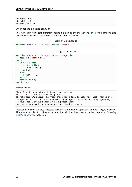which has the expected behavior.

In SPARK (as in Ada), each if-statement has a matching end marker end **if**; so the dangling-else problem cannot arise. The above C code is written as follows:

```
Listing 16: absval.ads
```

```
1 function Absval (X : Integer) return Integer;
```
Listing 17: absval.adb

```
1 function Absval (X : Integer) return Integer is
2 Result : Integer := X;
3 begin
\mathbf{i} \mathbf{f} \mathbf{f} \mathbf{f} \mathbf{f} \mathbf{g} \mathbf{g} \mathbf{g} \mathbf{f} hen
\mathbf{f} \times \mathbf{f} = \mathbf{0} then
6 \qquad \qquad Result := 0;
7 end if;
8 else
9 \qquad \qquad Result := -X;
10 end if;
11 return Result;
12 end Absval;
```
### **Prover output**

```
Phase 1 of 2: generation of Global contracts ...
Phase 2 of 2: flow analysis and proof ...
absval.adb:9:17: medium: overflow check might fail [reason for check: result of<sub>u</sub>
→negation must fit in a 32-bits machine integer] [possible fix: subprogram at.
↪absval.ads:1 should mention X in a precondition]
gnatprove: unproved check messages considered as errors
```
Interestingly, SPARK analysis detects here that the negation operation on line 9 might overflow. That's an example of runtime error detection which will be covered in the chapter on *Detecting Undefined Behavior* (page 53).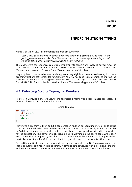**CHAPTER FOUR**

# **ENFORCING STRONG TYPING**

<span id="page-27-0"></span>Annex C of MISRA C:2012 summarizes the problem succinctly:

*"ISO C may be considered to exhibit poor type safety as it permits a wide range of implicit type conversions to take place. These type conversions can compromise safety as their implementation-defined aspects can cause developer confusion."*

The most severe consequences come from inappropriate conversions involving pointer types, as they can cause memory safety violations. Two sections of MISRA C are dedicated to these issues: "Pointer type conversions" (9 rules) and "Pointers and arrays" (8 rules).

Inappropriate conversions between scalar types are only slightly less severe, as they may introduce arbitrary violations of the intended functionality. MISRA C has gone to great lengths to improve the situation, by defining a stricter type system on top of the C language. This is described in Appendix D of MISRA C:2012 and in the dedicated section on "The essential type model" (8 rules).

# <span id="page-27-1"></span>**4.1 Enforcing Strong Typing for Pointers**

Pointers in C provide a low-level view of the addressable memory as a set of integer addresses. To write at address 42, just go through a pointer:

```
Listing 1: main.c
```

```
1 int main() {
2 \quad \text{int} \times p = 42;\ast p = 0;4 return 0;
5 }
```
Running this program is likely to hit a segmentation fault on an operating system, or to cause havoc in an embedded system, both because address 42 will not be correctly aligned on a 32-bit or 64-bit machine and because this address is unlikely to correspond to valid addressable data for the application. The compiler might issue a helpful warning on the above code (with option -Wint-conversion implied by -Wall in GCC or LLVM), but note that the warning disappears when explicitly converting value 42 to the target pointer type, although the problem is still present.

Beyond their ability to denote memory addresses, pointers are also used in C to pass references as inputs or outputs to function calls, to construct complex data structures with indirection or sharing, and to denote arrays of elements. Pointers are thus at once pervasive, powerful and fragile.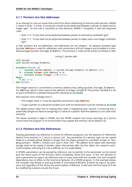### <span id="page-28-0"></span>**4.1.1 Pointers Are Not Addresses**

In an attempt to rule out issues that come from direct addressing of memory with pointers, MISRA C states in Rule 11.4 that *"A conversion should not be performed between a pointer to object and an integer type"*. As this rule is classified as only Advisory, MISRA C completes it with two Required rules:

- Rule 11.6: *"A cast shall not be performed between pointer to void and an arithmetic type"*
- Rule 11.7: *"A cast shall not be performed between pointer to object and a non-integer arithmetic type"*

In Ada, pointers are not addresses, and addresses are not integers. An opaque standard type System.**Address** is used for addresses, and conversions to/from integers are provided in a standard package System.Storage\_Elements. The previous C code can be written as follows in Ada:

Listing 2: pointer.adb

```
1 with System;
2 with System.Storage_Elements;
3
4 procedure Pointer is
5 A : constant System.Address := System.Storage_Elements.To_Address (42);
6 M : aliased Integer with Address => A;
7 P : constant access Integer := M'Access;
8 begin
9 P.all := 0;
10 end Pointer;
```
The integer value 42 is converted to a memory address A by calling System. Storage Elements. To\_Address, which is then used as the address of integer variable M. The pointer variable P is set to point to M (which is allowed because M is declared as **aliased**).

Ada requires more verbiage than C:

- The integer value 42 must be explicitly converted to type **Address**
- To get a pointer to a declared variable such as M, the declaration must be marked as **aliased**

The added syntax helps first in making clear what is happening and, second, in ensuring that a potentially dangerous feature (assigning to a value at a specific machine address) is not used inadvertently.

The above example is legal in SPARK, but the SPARK analysis tool issues warnings as it cannot control how the program or its environment may update the memory cell at address 42.

### <span id="page-28-1"></span>**4.1.2 Pointers Are Not References**

Passing parameters by reference is critical for efficient programs, but the absence of references distinct from pointers in C incurs a serious risk. Any parameter of a pointer type can be copied freely to a variable whose lifetime is longer than the object pointed to, a problem known as "dangling pointers". MISRA C forbids such uses in Rule 18.6: *"The address of an object with automatic storage shall not be copied to another object that persists after the first object has ceased to exist"*. Unfortunately, enforcing this rule is difficult, as it is undecidable.

In SPARK, parameters can be passed by reference, but no pointer to the parameter can be stored past the return point of the function, which completely solves this issue. In fact, the decision to pass a parameter by copy or by reference rests in many cases with the compiler, but such compiler dependency has no effect on the functional behavior of a SPARK program. In the example below, the compiler may decide to pass parameter P of procedure Rotate\_X either by copy or by reference, but regardless of the choice the postcondition of Rotate\_X will hold: the final value of P will be modified by rotation around the X axis.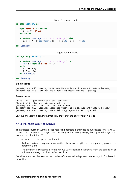Listing 3: geometry.ads

```
1 package Geometry is
2
3 type Point_3D is record
4 X, Y, Z : Float;
5 end record;
6
7 procedure Rotate_X (P : in out Point_3D) with
8 Post => P = P' \overline{0}ld'Update (Y => P \cdot Z' \overline{0}ld, Z => -P \cdot Y' \overline{0}ld);
9
10 end Geometry;
```
Listing 4: geometry.adb

```
1 package body Geometry is
2
3 procedure Rotate_X (P : in out Point_3D) is
4 Tmp : constant Float := P.Y;
5 begin
6 P.Y := P.Z;\overline{z} P.Z := -Tmp:
8 end Rotate X;
\overline{9}10 end Geometry;
```
### **Build output**

```
geometry.ads:8:23: warning: attribute Update is an obsolescent feature [-gnatwj]
geometry.ads:8:23: warning: use a delta aggregate instead [-gnatwj]
```
### **Prover output**

```
Phase 1 of 2: generation of Global contracts ...
Phase 2 of 2: flow analysis and proof ...
geometry.ads:8:14: info: postcondition proved
geometry.ads:8:23: warning: attribute Update is an obsolescent feature [-gnatwj]
geometry.ads:8:23: warning: use a delta aggregate instead [-gnatwj]
```
SPARK's analysis tool can mathematically prove that the postcondition is true.

### <span id="page-29-0"></span>**4.1.3 Pointers Are Not Arrays**

The greatest source of vulnerabilities regarding pointers is their use as substitutes for arrays. Although the C language has a syntax for declaring and accessing arrays, this is just a thin syntactic layer on top of pointers. Thus:

- Array access is just pointer arithmetic;
- If a function is to manipulate an array then the array's length must be separately passed as a parameter; and
- The program is susceptible to the various vulnerabilities originating from the confusion of pointers and arrays, such as buffer overflow.

Consider a function that counts the number of times a value is present in an array. In C, this could be written: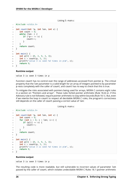```
Listing 5: main.c
```

```
1 #include <stdio.h>
2
3 int count(int *p, int len, int v) {
4 \quad \text{int count} = 0;5 while (len--) {
6 if (*p++ == v) {
7 count++;
8 }
9 }
10 return count;
11 }
12
13 int main() {
14 int p[5] = {0, 3, 9, 3, 3};
15 int c = count(p, 5, 3);
16 printf("value 3 is seen %d times in p\n", c);
17 return 0;
18 }
```
### **Runtime output**

value 3 is seen 3 times in p

Function count has no control over the range of addresses accessed from pointer p. The critical property that the len parameter is a valid length for an array of integers pointed to by parameter p rests completely with the caller of count, and count has no way to check that this is true.

To mitigate the risks associated with pointers being used for arrays, MISRA C contains eight rules in a section on "Pointers and arrays". These rules forbid pointer arithmetic (Rule 18.4) or, if this Advisory rule is not followed, require pointer arithmetic to stay within bounds (Rule 18.1). But, even if we rewrite the loop in count to respect all decidable MISRA C rules, the program's correctness still depends on the caller of count passing a correct value of len:

Listing 6: main.c

```
1 #include <stdio.h>
\overline{2}3 int count(int *p, int len, int v) {
4 int count = 0;
5 for (int i = 0; i < len; i++) {
6 if (p[i] == v) {
7 count++;
8 }
9 }
10 return count;
11 }
12
13 int main() {
14 int p[5] = {0, 3, 9, 3, 3};
15 int c = count(p, 5, 3);
16 printf("value 3 is seen %d times in p\n", c);
17 return 0;
18 }
```
### **Runtime output**

value 3 is seen 3 times in p

The resulting code is more readable, but still vulnerable to incorrect values of parameter len passed by the caller of count, which violates undecidable MISRA C Rules 18.1 (pointer arithmetic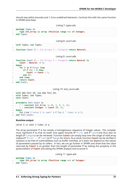should stay within bounds) and 1.3 (no undefined behavior). Contrast this with the same function in SPARK (and Ada):

```
Listing 7: types.ads
```

```
1 package Types is
2 type Int_Array is array (Positive range <>) of Integer;
3 end Types;
```
Listing 8: count.ads

```
1 with Types; use Types;
\overline{2}3 function Count (P : Int_Array; V : Integer) return Natural;
```
Listing 9: count.adb

```
1 function Count (P : Int_Array; V : Integer) return Natural is
2 Count : Natural := 0;
3 begin
4 for I in P'Range loop
\mathbf{if} \mathsf{P}(\mathbf{I}) = \mathsf{V} \mathsf{then}6 Count := Count + 1;
7 end if;
8 end loop;
9 return Count;
10 end Count;
```
Listing 10: test\_count.adb

```
1 with Ada.Text_IO; use Ada.Text_IO;
2 with Types; use Types;
3 with Count;
4
5 procedure Test_Count is
6 P : constant Int_Array := (0, 3, 9, 3, 3);
7 C : constant Integer := Count (P, 3);
8 begin
9 Put_Line ("value 3 is seen" & C'Img & " times in p");
10 end Test_Count;
```
### **Runtime output**

value 3 is seen 3 times in p

The array parameter P is not simply a homogeneous sequence of Integer values. The compiler must represent P so that its lower and upper bounds (P'First and P'Last) and thus also its length (P'Length) can be retrieved. Function **Count** can simply loop over the range of valid array indexes P'First .. P'Last (or P'Range for short). As a result, function **Count** can be verified in isolation to be free of vulnerabilities such as buffer overflow, as it does not depend on the values of parameters passed by its callers. In fact, we can go further in SPARK and show that the value returned by **Count** is no greater than the length of parameter P by stating this property in the postcondition of **Count** and asking the SPARK analysis tool to prove it:

Listing 11: types.ads

```
1 package Types is
2 type Int_Array is array (Positive range <>) of Integer;
  3 end Types;
```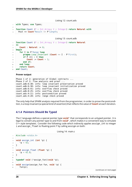Listing 12: count.ads

<sup>1</sup> **with** Types; **use** Types;

 $\overline{2}$ 

```
3 function Count (P : Int_Array; V : Integer) return Natural with
```

```
4 Post => Count'Result <= P'Length;
```
Listing 13: count.adb

```
1 function Count (P : Int_Array; V : Integer) return Natural
2 is
3 Count : Natural := 0;
4 begin
5 for I in P'Range loop
6 pragma Loop_Invariant (Count <= I - P'First);
7 \quad \text{if } P(I) = V \text{ then}8 Count := Count + 1;
9 end if;
10 end loop;
11 return Count;
12 end Count;
```
**Prover output**

Phase 1 of 2: generation of Global contracts ... Phase 2 of 2: flow analysis and proof ... count.adb:6:30: info: loop invariant preservation proved count.adb:6:30: info: loop invariant initialization proved count.adb:6:41: info: overflow check proved count.adb:8:25: info: overflow check proved count.ads:4:11: info: postcondition proved count.ads:4:28: info: range check proved

The only help that SPARK analysis required from the programmer, in order to prove the postcondition, is a loop invariant (a special kind of assertion) that reflects the value of **Count** at each iteration.

### <span id="page-32-0"></span>**4.1.4 Pointers Should Be Typed**

The C language defines a special pointer type **void**\* that corresponds to an untyped pointer. It is legal to convert any pointer type to and from **void**\*, which makes it a convenient way to simulate C++ style templates. Consider the following code which indirectly applies assign\_int to integer i and assign float to floating-point f by calling assign on both:

```
Listing 14: main.c
```

```
1 #include <stdio.h>
\overline{2}3 void assign_int (int *p) {
4 *p = 42;
5 }
6
7 void assign_float (float *p) {
\mathbf{s} *p = 42.0;
9 }
10
11 typedef void (*assign_fun)(void *p);
1213 void assign(assign_fun fun, void *p) {
14 fun(p);
```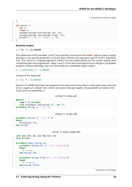```
15 \quad \}16
17 int main() {
18 int i;
19 float f;
20 assign((assign_fun)&assign_int, &i);
21 assign((assign_fun)&assign_float, &f);
_{22} printf("i = %d; f = %f\n", i, f);
23 }
```
### **Runtime output**

 $i = 42$ ; f = 42.000000

The references to the variables i and f are implicitly converted to the **void**\* type as a way to apply assign to any second parameter p whose type matches the argument type of its first argument fun. The use of an untyped argument means that the responsibility for the correct typing rests completely with the programmer. Swap i and f in the calls to assign and you still get a compilable program without warnings, that runs and produces completely bogus output:

 $i = 1109917696$ ;  $f = 0.000000$ 

instead of the expected:

 $i = 42$ ; f = 42.000000

Generics in SPARK (and Ada) can implement the desired functionality in a fully typed way, with any errors caught at compile time, where procedure Assign applies its parameter procedure Initialize to its parameter V:

```
Listing 15: assign.ads
```

```
1 generic
2 type T is private;
3 with procedure Initialize (V : out T);
4 procedure Assign (V : out T);
```
Listing 16: assign.adb

```
1 procedure Assign (V : out T) is
2 begin
3 Initialize (V);
  end Assign;
```

| Listing 17: apply_assign.adb |  |  |
|------------------------------|--|--|
|------------------------------|--|--|

```
1 with Ada.Text_IO; use Ada.Text_IO;
2 with Assign;
3
4 procedure Apply_Assign is
5 procedure Assign_Int (V : out Integer) is
6 begin
V := 42;8 end Assign Int;
\alpha10 procedure Assign_Float (V : out Float) is
11 begin
V := 42.0;
13 end Assign Float;
14
```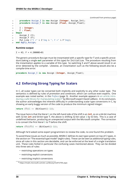```
15 procedure Assign_I is new Assign (Integer, Assign_Int);
16 procedure Assign_F is new Assign (Float, Assign_Float);
17
18 I : Integer;
19 F : Float;
20 begin
21 Assign_I (I);
22 AssignF (F);
23 Put Line ("I =" \& I'Img \& "; F =" \& F'Img);
24 end Apply_Assign;
```
### **Runtime output**

 $I = 42$ ;  $F = 4.20000E+01$ 

The generic procedure Assign must be instantiated with a specific type for T and a specific procedure (taking a single **out** parameter of this type) for Initialize. The procedure resulting from the instantiation applies to a variable of this type. So switching I and F above would result in an error detected by the compiler. Likewise, an instantiation such as the following would also be a compile-time error:

**procedure** Assign\_I **is new** Assign (**Integer**, Assign\_Float);

# **4.2 Enforcing Strong Typing for Scalars**

<span id="page-34-0"></span>In C, all scalar types can be converted both implicitly and explicitly to any other scalar type. The semantics is defined by rules of *promotion* and *conversion*, which can confuse even experts. One example was noted earlier, in the *Preface* (page 3). Another example appears in an article introducing a safe library for manipulating scalars<sup>8</sup> by Microsoft expert David LeBlanc. In its conclusion, the author acknowledges the inherent difficulty in understanding scalar type conversions in C, by showing an early buggy version of the code to produce the minimum signed integer:

```
return (T)(1 << (BitCount()-1));
```
The issue here is that the literal 1 on the left-hand side of the shift is an **int**, so on a 64-bit machine with 32-bit **int** and 64-bit type T, the above is shifting 32-bit value 1 by 63 bits. This is a case of undefined behavior, producing an unexpected output with the Microsoft compiler. The correction is to convert the first literal 1 to T before the shift:

**return** (T)((T)1 << (BitCount()-1));

Although he'd asked some expert programmers to review the code, no one found this problem.

To avoid these issues as much as possible, MISRA C defines its own type system on top of C types, in the section on "The essential type model" (eight rules). These can be seen as additional typing rules, since all rules in this section are decidable, and can be enforced at the level of a single translation unit. These rules forbid in particular the confusing cases mentioned above. They can be divided into three sets of rules:

- restricting operations on types
- restricting explicit conversions
- restricting implicit conversions

<sup>8</sup> https://msdn.microsoft.com/en-us/library/ms972705.aspx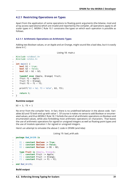### <span id="page-35-0"></span>**4.2.1 Restricting Operations on Types**

Apart from the application of some operations to floating-point arguments (the bitwise, mod and array access operations) which are invalid and reported by the compiler, all operations apply to all scalar types in C. MISRA C Rule 10.1 constrains the types on which each operation is possible as follows.

### <span id="page-35-1"></span>**4.2.1.1 Arithmetic Operations on Arithmetic Types**

Adding two Boolean values, or an Apple and an Orange, might sound like a bad idea, but it is easily done in C:

Listing 18: main.c

```
1 #include <stdbool.h>
2 #include <stdio.h>
3
4 int main() {
5 bool b1 = true;
6 bool b2 = false;
7 bool b3 = b1 + b2;
8
9 typedef enum {Apple, Orange} fruit;
10 fruit f1 = Apple;
11 fruit f2 = 0range;
12 fruit f3 = f1 + f2;
13
14 printf("b3 = %d; f3 = %d\n", b3, f3);
15
16 return 0;
17 }
```
### **Runtime output**

 $b3 = 1$ ;  $f3 = 1$ 

No error from the compiler here. In fact, there is no undefined behavior in the above code. Variables b3 and f3 both end up with value 1. Of course it makes no sense to add Boolean or enumerated values, and thus MISRA C Rule 18.1 forbids the use of all arithmetic operations on Boolean and enumerated values, while also forbidding most arithmetic operations on characters. That leaves the use of arithmetic operations for signed or unsigned integers as well as floating-point types and the use of modulo operation % for signed or unsigned integers.

Here's an attempt to simulate the above C code in SPARK (and Ada):

Listing 19: bad\_arith.ads

```
1 package Bad_Arith is
\overline{2}3 B1 : constant Boolean := True;
4 B2 : constant Boolean := False;
5 B3 : constant Boolean := B1 + B2;
6
7 type Fruit is (Apple, Orange);
8 F1 : constant Fruit := Apple;
9 F2 : constant Fruit := Orange;
10 F3 : constant Fruit := F1 + F2;
11
12 end Bad_Arith;
```
### **Build output**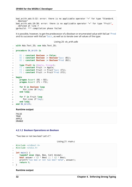bad arith.ads:5:32: error: there is no applicable operator "+" for type "Standard. ↪Boolean" bad\_arith.ads:10:30: error: there is no applicable operator "+" for type "Fruit".  $\rightarrow$ defined at line 7 gprbuild: \*\*\* compilation phase failed

It is possible, however, to get the predecessor of a Boolean or enumerated value with Value'Pred and its successor with Value'Succ, as well as to iterate over all values of the type:

Listing 20: ok\_arith.adb

```
1 with Ada.Text_IO; use Ada.Text_IO;
\overline{2}3 procedure Ok_Arith is
4
5 B1 : constant Boolean := False;
6 B2 : constant Boolean := Boolean'Succ (B1);
7 B3 : constant Boolean := Boolean'Pred (B2);
8
9 type Fruit is (Apple, Orange);
10 F1 : constant Fruit := Apple;
11 F2 : constant Fruit := Fruit'Succ (F1);
12 F3 : constant Fruit := Fruit'Pred (F2);
13
14 begin
15 pragma Assert (B1 = B3);
16 pragma Assert (F1 = F3);
17
18 for B in Boolean loop
19 Put_Line (B'Img);
20 end loop;
2122 for F in Fruit loop
23 Put Line (F'Img);
24 end loop;
25 end Ok_Arith;
```
### **Runtime output**

FALSE **TRUE** APPLE ORANGE

### <span id="page-36-0"></span>**4.2.1.2 Boolean Operations on Boolean**

"Two bee or not two bee? Let's C":

Listing 21: main.c

```
1 #include <stdbool.h>
2 #include <stdio.h>
\overline{3}4 int main() {
5 typedef enum {Ape, Bee, Cat} Animal;
6 bool answer = (2 * \text{Bee}) || ! (2 * \text{Bee});
7 printf("two bee or not two bee? %d\n", answer);
8 return 0;
9 }
```
**Runtime output**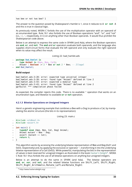two bee or not two bee? 1

The answer to the question posed by Shakespeare's Hamlet is 1, since it reduces to A **or not** A and this is true in classical logic.

As previously noted, MISRA C forbids the use of the multiplication operator with an operand of an enumerated type. Rule 18.1 also forbids the use of Boolean operations "and", "or", and "not" (&&, ||, !, respectively, in C) on anything other than Boolean operands. It would thus prohibit the Shakespearian code above.

Below is an attempt to express the same code in SPARK (and Ada), where the Boolean operators are **and**, **or**, and **not**. The **and** and **or** operators evaluate both operands, and the language also supplies short-circuit forms that evaluate the left operand and only evaluate the right operand when its value may affect the result.

Listing 22: bad\_hamlet.ads

```
1 package Bad_Hamlet is
2 type Animal is (Ape, Bee, Cat);
3 Answer : Boolean := 2 * Bee or not 2 * Bee; -- Illegal
  4 end Bad_Hamlet;
```
### **Build output**

```
bad_hamlet.ads:3:28: error: expected type universal integer
bad_hamlet.ads:3:28: error: found type "Animal" defined at line 2
bad_hamlet.ads:3:43: error: expected a modular type
bad_hamlet.ads:3:43: error: found type "Animal" defined at line 2
gprbuild: *** compilation phase failed
```
As expected, the compiler rejects this code. There is no available  $*$  operation that works on an enumeration type, and likewise no available **or** or **not** operation.

### **4.2.1.3 Bitwise Operations on Unsigned Integers**

<span id="page-37-0"></span>Here's a genetic engineering example that combines a Bee with a Dog to produce a Cat, by manipulating the atomic structure (the bits in its representation):

```
Listing 23: main.c
```

```
1 #include <stdbool.h>
2 #include <assert.h>
3
4 int main() {
5 typedef enum {Ape, Bee, Cat, Dog} Animal;
6 \mid Animal mutant = Bee \wedge Dog;
7 assert (mutant == Cat);
8 return 0;
9 }
```
This algorithm works by accessing the underlying bitwise representation of Bee and Dog (0x01 and 0x03, respectively) and, by applying the exclusive-or operator  $\hat{\ }$ , transforming it into the underlying bitwise representation of a Cat (0x02). While powerful, manipulating the bits in the representation of values is best reserved for unsigned integers as illustrated in the book Hacker's Delight<sup>9</sup>. MISRA C Rule 18.1 thus forbids the use of all bitwise operations on anything but unsigned integers.

Below is an attempt to do the same in SPARK (and Ada). The bitwise operators are **and**, **or**, **xor**, and **not**, and the related bitwise functions are Shi[ft\\_Left](http://www.hackersdelight.org/), Shif[t\\_](#page-37-1)Right, Shift Right Arithmetic, Rotate Left and Rotate Right:

<span id="page-37-1"></span><sup>9</sup> http://www.hackersdelight.org/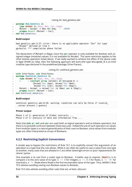Listing 24: bad\_genetics.ads

```
1 package Bad_Genetics is
2 type Animal is (Ape, Bee, Cat, Dog);
3 Mutant : Animal := Bee xor Dog; -- ERROR
4 pragma Assert (Mutant = Cat);
5 end Bad_Genetics;
```
### **Build output**

```
bad_genetics.ads:3:27: error: there is no applicable operator "Xor" for type
↪"Animal" defined at line 2
gprbuild: *** compilation phase failed
```
The declaration of Mutant is illegal, since the **xor** operator is only available for Boolean and unsigned integer (modular) values; it is not available for Animal. The same restriction applies to the other bitwise operators listed above. If we really wanted to achieve the effect of the above code in legal SPARK (or Ada), then the following approach will work (the type Unsigned\_8 is an 8-bit modular type declared in the predefined package Interfaces).

Listing 25: unethical\_genetics.ads

```
1 with Interfaces; use Interfaces;
2 package Unethical_Genetics is
3 type Animal is (Ape, Bee, Cat, Dog);
4 A : constant array (Animal) of Unsigned_8 :=
5 (Animal'Pos (Ape), Animal'Pos (Bee),
6 Animal'Pos (Cat), Animal'Pos (Dog));
7 Mutant : Animal := Animal'Val (A (Bee) xor A (Dog));
8 pragma Assert (Mutant = Cat);
9 end Unethical Genetics;
```
### **Build output**

```
unethical_genetics.ads:8:26: warning: condition can only be False if invalid<sub>u</sub>
↪values present [-gnatwc]
```
### **Prover output**

Phase 1 of 2: generation of Global contracts ... Phase 2 of 2: analysis of data and information flow ...

Note that **and**, **or**, **not** and **xor** are used both as logical operators and as bitwise operators, but there is no possible confusion between these two uses. Indeed the use of such operators on values from modular types is a natural generalization of their uses on Boolean, since values from modular types are often interpreted as arrays of Booleans.

### <span id="page-38-0"></span>**4.2.2 Restricting Explicit Conversions**

A simple way to bypass the restrictions of Rule 10.1 is to explicitly convert the arguments of an operation to a type that the rule allows. While it can often be useful to cast a value from one type to another, many casts that are allowed in C are either downright errors or poor replacements for clearer syntax.

One example is to cast from a scalar type to Boolean. A better way to express (**bool**)x is to compare x to the zero value of its type:  $x = 0$  for integers,  $x = 0.0$  for floats,  $x = 0$  for characters,  $x \neq 0$  Enum where Enum is the first enumerated value of the type. Thus, MISRA C Rule 10.5 advises avoiding casting non-Boolean values to Boolean.

Rule 10.5 also advises avoiding other casts that are, at best, obscure: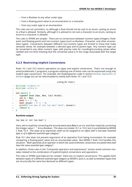- from a Boolean to any other scalar type
- from a floating-point value to an enumeration or a character
- from any scalar type to an enumeration

The rules are not symmetric, so although a float should not be cast to an enum, casting an enum to a float is allowed. Similarly, although it is advised to not cast a character to an enum, casting an enum to a character is allowed.

The rules in SPARK are simpler. There are no conversions between numeric types (integers, fixedpoint and floating-point) and non-numeric types (such as Boolean, Character, and other enumeration types). Conversions between different non-numeric types are limited to those that make semantic sense, for example between a derived type and its parent type. Any numeric type can be converted to any other numeric type, with precise rules for rounding/truncating values when needed and run-time checking that the converted value is in the range associated with the target type.

### **4.2.3 Restricting Implicit Conversions**

<span id="page-39-0"></span>Rules 10.1 and 10.5 restrict operations on types and explicit conversions. That's not enough to avoid problematic C programs; a program violating one of these rules can be expressed using only implicit type conversions. For example, the Shakespearian code in section *Boolean Operations on Boolean* (page 32) can be reformulated to satisfy both Rules 10.1 and 10.5:

```
Listing 26: main.c
```

```
1 #include <stdbool.h>
2 #include <stdio.h>
3
4 int main() {
5 typedef enum {Ape, Bee, Cat} Animal;
6 int b = \text{Bee};
7 bool t = 2 * b;
\mathbf{18} \quad \text{bool answer} = \mathbf{t} \mid \mid \cdot \mathbf{t};9 printf("two bee or not two bee? %d\n", answer);
10 return 0;
11 }
```
### **Runtime output**

two bee or not two bee? 1

Here, we're implicitly converting the enumerated value Bee to an int, and then implicitly converting the integer value  $2 * b$  to a Boolean. This does not violate 10.1 or 10.5, but it is prohibited by MISRA C Rule 10.3: *"The value of an expression shall not be assigned to an object with a narrower essential type or of a different essential type category"*.

Rule 10.1 also does not prevent arguments of an operation from being inconsistent, for example comparing a floating-point value and an enumerated value. But MISRA C Rule 10.4 handles this situation: *"Both operands of an operator in which the usual arithmetic conversions are performed shall have the same essential type category"*.

In addition, three rules in the "Composite operators and expressions" section avoid common mistakes related to the combination of explicit/implicit conversions and operations.

The rules in SPARK (and Ada) are far simpler: there are no implicit conversions! This applies both between types of a different *essential type category* as MISRA C puts it, as well as between types that are structurally the same but declared as different types.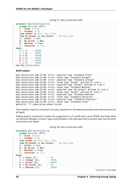```
Listing 27: bad_conversions.adb
```

```
1 procedure Bad_Conversions is
2 pragma Warnings (Off);
3 F : Float := 0.0;
4 I : Integer := 0;
5 type Animal is (Ape, Bee, Cat);
6 type My_Animal is new Animal; -- derived type
7 \mid A : Animal := Cat;
8 \text{ } M : My Animal := Bee;
9 B : Boolean := True;
10 C : Character := 'a';
11 begin
12 F := I; -- ERROR
13 I := A; -- ERROR
14 A := B; -- ERROR
15 M := A; -- ERROR
16 B := C; -- ERROR
17 C := F; -- ERROR
18 end Bad Conversions;
```
**Build output**

```
bad conversions.adb:12:09: error: expected type "Standard.Float"
bad_conversions.adb:12:09: error: found type "Standard.Integer"
bad_conversions.adb:13:09: error: expected type "Standard.Integer"
bad_conversions.adb:13:09: error: found type "Animal" defined at line 5
bad_conversions.adb:14:09: error: expected type "Animal" defined at line 5
bad_conversions.adb:14:09: error: found type "Standard.Boolean"
bad conversions.adb:15:09: error: expected type "My Animal" defined at line 6
bad_conversions.adb:15:09: error: found type "Animal" defined at line 5
bad_conversions.adb:16:09: error: expected type "Standard.Boolean"
bad_conversions.adb:16:09: error: found type "Standard.Character"
bad_conversions.adb:17:09: error: expected type "Standard.Character"
bad_conversions.adb:17:09: error: found type "Standard.Float"
gprbuild: *** compilation phase failed
```
The compiler reports a mismatch on every statement in the above procedure (the declarations are all legal).

Adding explicit conversions makes the assignments to F and M valid, since SPARK (and Ada) allow conversions between numeric types and between a derived type and its parent type, but all other conversions are illegal:

```
Listing 28: bad_conversions.adb
```

```
1 procedure Bad_Conversions is
2 pragma Warnings (Off);
3 \tF : \text{Float} := 0.0;4 I : Integer := 0;
5 type Animal is (Ape, Bee, Cat);
6 type My_Animal is new Animal; -- derived type
7 \quad A : Animal := Cat;8 \text{ } M : My Animal := Bee;
9 B : Boolean := True;
10 C : Character := 'a';
11 begin
12 F := Float (I); -- OK
13 I := Integer (A); -- ERROR
14 A := Animal (B); -- ERROR
15 M := My_Animal (A); -- OK
16 B := Boolean (C); -- ERROR
```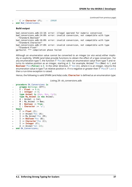```
17 C := Character (F); -- ERROR
18 end Bad Conversions;
```
### **Build output**

```
bad_conversions.adb:13:18: error: illegal operand for numeric conversion
bad_conversions.adb:14:09: error: invalid conversion, not compatible with type
 ↪"Standard.Boolean"
bad_conversions.adb:16:09: error: invalid conversion, not compatible with type
 ↪"Standard.Character"
bad_conversions.adb:17:09: error: invalid conversion, not compatible with type
↪"Standard.Float"
gprbuild: *** compilation phase failed
```
Although an enumeration value cannot be converted to an integer (or *vice versa*) either implicitly or explicitly, SPARK (and Ada) provide functions to obtain the effect of a type conversion. For any enumeration type T, the function T'Pos(e) takes an enumeration value from type T and returns its relative position as an integer, starting at 0. For example, Animal'Pos(Bee) is 1, and **Boolean**'Pos(**False**) is 0. In the other direction, T'Val(n), where n is an integer, returns the enumeration value in type T at relative position n. If n is negative or greater then T'Pos(T'Last) then a run-time exception is raised.

Hence, the following is valid SPARK (and Ada) code; **Character** is defined as an enumeration type:

### Listing 29: ok\_conversions.adb

```
1 procedure Ok_Conversions is
2 pragma Warnings (Off);
\overline{3} F Float := 0.0;
4 I : Integer := 0;
5 type Animal is (Ape, Bee, Cat);
6 type My_Animal is new Animal;
7 \times A: Animal := Cat:
8 M : My Animal := Bee;
9 B : Boolean := True;
10 C : Character := 'a';
11 begin
12 F := Float (I);
13 \quad I := Animal' Pos(A);14 I := My Animal'Pos (M);
15 I := Boolean'Pos (B);
16 I := Character'Pos (C);
17 I := Integer (F);
18 A := Animal Val (2):
19 end Ok Conversions;
```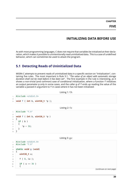**CHAPTER FIVE**

# **INITIALIZING DATA BEFORE USE**

<span id="page-43-0"></span>As with most programming languages, C does not require that variables be initialized at their declaration, which makes it possible to unintentionally read uninitialized data. This is a case of undefined behavior, which can sometimes be used to attack the program.

# <span id="page-43-1"></span>**5.1 Detecting Reads of Uninitialized Data**

MISRA C attempts to prevent reads of uninitialized data in a specific section on "Initialization", containing five rules. The most important is Rule 9.1: "*The value of an object with automatic storage duration shall not be read before it has been set*". The first example in the rule is interesting, as it shows a non-trivial (and common) case of conditional initialization, where a function f initializes an output parameter p only in some cases, and the caller g of f ends up reading the value of the variable u passed in argument to f in cases where it has not been initialized:

```
Listing 1: f.h
1 #include <stdint.h>
3 void f ( int b, uint16_t *p );
                                         Listing 2: f.c
1 #include "f.h"
3 void f ( int b, uint16_t *p )
4 {
5 if ( b )
6 \quad \text{f}7 + p = 30;8 }
9 }
```

```
Listing 3: g.c
```

```
1 #include <stdint.h>
2 #include "f.h"
3
4 static void g (void)
5 \quad \{6 uint16_t u;
7
8 \qquad \qquad f ( 0, &u );
9
10 if (u == 3U )
11 \quad \text{f}
```
 $\overline{2}$ 

 $\overline{2}$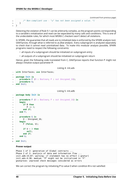```
12 /* Non-compliant use - "u" has not been assigned a value. */
13 }
14 }
```
Detecting the violation of Rule 9.1 can be arbitrarily complex, as the program points corresponding to a variable's initialization and read can be separated by many calls and conditions. This is one of the undecidable rules, for which most MISRA C checkers won't detect all violations.

In SPARK, the guarantee that all reads are to initialized data is enforced by the SPARK analysis tool, GNATprove, through what is referred to as *flow analysis*. Every subprogram is analyzed separately to check that it cannot read uninitialized data. To make this modular analysis possible, SPARK programs need to respect the following constraints:

- all inputs of a subprogram should be initialized on subprogram entry
- all outputs of a subprogram should be initialized on subprogram return

Hence, given the following code translated from C, GNATprove reports that function F might not always initialize output parameter P:

Listing 4: init.ads

```
1 with Interfaces; use Interfaces;
2
3 package Init is
4 procedure F (B : Boolean; P : out Unsigned_16);
5 procedure G;
6 end Init;
```

```
Listing 5: init.adb
```

```
1 package body Init is
\overline{2}3 procedure F (B : Boolean; P : out Unsigned_16) is
4 begin
5 if B then
6 P := 3;7 end if;
8 end F;
9
10 procedure G is
11 U : Unsigned_16;
12 begin
13 F (False, U);
14
\mathbf{i} if \mathbf{U} = 3 then
16 null;
17 end if;
18 end G;
19
20 end Init;
```
### **Prover output**

```
Phase 1 of 2: generation of Global contracts ...
Phase 2 of 2: analysis of data and information flow ...
init.adb:15:07: warning: if statement has no effect [-gnatwr]
init.ads:4:30: medium: "P" might not be initialized in "F"
gnatprove: unproved check messages considered as errors
```
We can correct the program by initializing P to value 0 when condition B is not satisfied: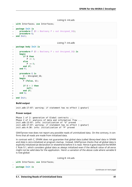Listing 6: init.ads

```
1 with Interfaces; use Interfaces;
2
3 package Init is
4 procedure F (B : Boolean; P : out Unsigned_16);
5 procedure G;
6 end Init;
```
Listing 7: init.adb

```
1 package body Init is
\overline{2}3 procedure F (B : Boolean; P : out Unsigned_16) is
4 begin
5 if B then
6 P := 3;
7 else
8 \t P := 0;9 end if;
10 end F;
11
12 procedure G is
13 U : Unsigned_16;
14 begin
15 F (False, U);
16
\mathbf{i} if \mathbf{U} = 3 then
18 null;
19 end if;
20 end G;
2122 end Init;
```
### **Build output**

init.adb:17:07: warning: if statement has no effect [-gnatwr]

### **Prover output**

Phase 1 of 2: generation of Global contracts ... Phase 2 of 2: analysis of data and information flow ... init.adb:13:07: info: initialization of "U" proved init.adb:17:07: warning: if statement has no effect [-gnatwr] init.ads:4:30: info: initialization of "P" proved

GNATprove now does not report any possible reads of uninitialized data. On the contrary, it confirms that all reads are made from initialized data.

In contrast with C, SPARK does not guarantee that global data (called *library-level* data in SPARK and Ada) is zero-initialized at program startup. Instead, GNATprove checks that all global data is explicitly initialized (at declaration or elsewhere) before it is read. Hence it goes beyond the MISRA C Rule 9.1, which considers global data as always initialized even if the default value of all-zeros might not be valid data for the application. Here's a variation of the above code where variable U is now global:

### Listing 8: init.ads

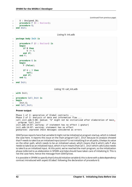```
4 U : Unsigned 16;
5 procedure F (B : Boolean);
6 procedure G;
  end Init;
```
Listing 9: init.adb

```
1 package body Init is
2
3 procedure F (B : Boolean) is
4 begin
5 if B then
6 U := 3;7 end if;
8 end F;
\alpha10 procedure G is
11 begin
12 F (False);
13
\mathbf{i} \mathbf{f} \mathbf{u} = 3 then
15 null;
16 end if;
17 end G;
18
```

```
19 end Init;
```
Listing 10: call\_init.adb

```
1 with Init;
\overline{2}3 procedure Call_Init is
4 begin
5 Init.G;
  end Call Init;
```
### **Prover output**

```
Phase 1 of 2: generation of Global contracts ...
Phase 2 of 2: analysis of data and information flow ...
call init.adb:5:08: medium: "U" might not be initialized after elaboration of main,
↪program "Call_Init"
init.adb:14:07: warning: if statement has no effect [-gnatwr]
init.adb:14:07: warning: statement has no effect
gnatprove: unproved check messages considered as errors
```
GNATprove reports here that variable U might not be initialized at program startup, which is indeed the case here. It reports this issue on the main program Call\_Init because its analysis showed that F needs to take U as an initialized input (since F is not initializing U on all paths, U keeps its value on the other path, which needs to be an initialized value), which means that G which calls F also needs to take U as an initialized input, which in turn means that Call Init which calls G also needs to take U as an initialized input. At this point, we've reached the main program, so the initialization phase (referred to as *elaboration* in SPARK and Ada) should have taken care of initializing U. This is not the case here, hence the message from GNATprove.

It is possible in SPARK to specify that G should initialize variable U; this is done with a *data dependency* contract introduced with aspect Global following the declaration of procedure G: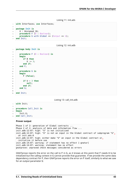```
Listing 11: init.ads
```

```
1 with Interfaces; use Interfaces;
2
3 package Init is
4 U : Unsigned 16;
5 procedure F (B : Boolean);
6 procedure G with Global => (Output => U);
7 end Init;
```

```
Listing 12: init.adb
```

```
1 package body Init is
\overline{2}3 procedure F (B : Boolean) is
4 begin
5 if B then
6 \vert U := 3;
7 end if;
8 end F;
\mathsf{q}10 procedure G is
11 begin
12 F (False);
13
14 if U = 3 then
15 null;
16 end if;
17 end G;
18
19 end Init;
```
Listing 13: call\_init.adb

```
1 with Init;
\overline{2}3 procedure Call_Init is
4 begin
5 Init.G;
6 end Call_Init;
```
**Prover output**

Phase 1 of 2: generation of Global contracts ... Phase 2 of 2: analysis of data and information flow ... init.adb:12:07: high: "U" is not initialized init.adb:12:07: high: "U" is not an input in the Global contract of subprogram "G"␣ ↪at init.ads:6 init.adb:12:07: high: either make "U" an input in the Global contract or<sub>u</sub> ↪initialize it before use init.adb:14:07: warning: if statement has no effect [-gnatwr] init.adb:14:07: warning: statement has no effect gnatprove: unproved check messages considered as errors

GNATprove reports the error on the call to F in G, as it knows at this point that F needs U to be initialized but the calling context in G cannot provide that guarantee. If we provide the same data dependency contract for F, then GNATprove reports the error on F itself, similarly to what we saw for an output parameter U.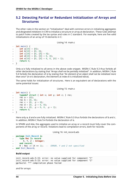# <span id="page-48-0"></span>**5.2 Detecting Partial or Redundant Initialization of Arrays and Structures**

The other rules in the section on "Initialization" deal with common errors in initializing aggregates and *designated initializers* in C99 to initialize a structure or array at declaration. These rules attempt to patch holes created by the lax syntax and rules in C standard. For example, here are five valid initializations of an array of 10 elements in C:

Listing 14: main.c

```
1 int main() {
\frac{1}{2} int a[10] = {0};
3 int b[10] = {0, 0};
4 int c[10] = {0, [8] = 0};
\mathbf{5} int d[10] = {0, [8] = 0, 0};
6 int e[10] = \{0, [8] = 0, 0, [8] = 1\};7 return 0;
8 }
```
Only a is fully initialized to all-zeros in the above code snippet. MISRA C Rule 9.3 thus forbids all other declarations by stating that *"Arrays shall not be partially initialized"*. In addition, MISRA C Rule 9.4 forbids the declaration of e by stating that *"An element of an object shall not be initialised more than once"* (in e's declaration, the element at index 8 is initialized twice).

The same holds for initialization of structures. Here is an equivalent set of declarations with the same potential issues:

```
Listing 15: main.c
```

```
1 int main() {
2 typedef struct { int x; int y; int z; } rec;
3 \text{ } rec a = \{0\};4 rec b = \{0, 0\};5 \text{ } rec c = {0, \text{ } .y = 0};
6 rec d = \{0, y = 0, 0\};7 \text{ } rec e = {0, \text{ } y = 0, \text{ } 0, \text{ } y = 1};
8 return 0;
9 }
```
Here only a, d and e are fully initialized. MISRA C Rule 9.3 thus forbids the declarations of b and c. In addition, MISRA C Rule 9.4 forbids the declaration of e.

In SPARK and Ada, the aggregate used to initialize an array or a record must fully cover the components of the array or record. Violations lead to compilation errors, both for records:

Listing 16: init\_record.ads

```
1 package Init_Record is
2 type Rec is record
3 X, Y, Z : Integer;
4 end record;
5 R : Rec := (X => 1); -- ERROR, Y and Z not specified
  end Init Record;
```
### **Build output**

```
init_record.ads:5:15: error: no value supplied for component "Y"
init_record.ads:5:15: error: no value supplied for component "Z"
gprbuild: *** compilation phase failed
```
and for arrays: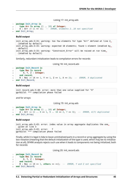Listing 17: init\_array.ads

```
1 package Init_Array is
2 type Arr is array (1 .. 10) of Integer;
3 A : Arr := (1 => 1); -- ERROR, elements 2..10 not specified
  end Init Array;
```
### **Build output**

```
init array.ads:3:15: warning: too few elements for type "Arr" defined at line 2.
\rightarrow[enabled by default]
init array.ads:3:15: warning: expected 10 elements; found 1 element [enabled by.
↪default]
init_array.ads:3:15: warning: "Constraint_Error" will be raised at run time<sub>u</sub>
\rightarrow[enabled by default]
```
Similarly, redundant initialization leads to compilation errors for records:

Listing 18: init\_record.ads

```
1 package Init_Record is
2 type Rec is record
3 X, Y, Z : Integer;
     end record:
5 R : Rec := (X => 1, Y => 1, Z => 1, X => 2); -- ERROR, X duplicated
  end Init Record;
```
### **Build output**

```
init_record.ads:5:40: error: more than one value supplied for "X"
gprbuild: *** compilation phase failed
```
and for arrays:

Listing 19: init\_array.ads

```
1 package Init_Array is
2 type Arr is array (1 .. 10) of Integer;
3 A : Arr := (1 .. 8 => 1, 9 .. 10 => 2, 7 => 3); -- ERROR, A(7) duplicated
  end Init Array;
```
### **Build output**

```
init array.ads:3:43: error: index value in array aggregate duplicates the one<sub>.</sub>
 ↪given at line 3
init_array.ads:3:43: error: 7
gprbuild: *** compilation phase failed
```
Finally, while it is legal in Ada to leave uninitialized parts in a record or array aggregate by using the box notation (meaning that the default initialization of the type is used, which may be no initialization at all), SPARK analysis rejects such use when it leads to components not being initialized, both for records:

Listing 20: init\_record.ads

```
1 package Init_Record is
2 type Rec is record
3 X, Y, Z : Integer;
4 end record;
5 R : Rec := (X => 1, others => <>); -- ERROR, Y and Z not specified
6 end Init Record;
```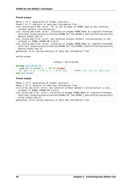### **Prover output**

Phase 1 of 2: generation of Global contracts ... Phase 2 of 2: analysis of data and information flow ... init record.ads:5:04: error: "R" is not allowed in SPARK (due to box notation.. ↪without default initialization) init record.ads:5:04: error: violation of pragma SPARK Mode at /vagrant/frontend/  $\rightarrow$ dist/test\_output/projects/Courses/SPARK\_For\_The\_MISRA\_C\_Dev/Initialization/Init ↪Record\_3/main.adc:12 init record.ads:5:15: error: box notation without default initialization is not.  $\rightarrow$ allowed in SPARK (SPARK RM 4.3(1)) init record.ads:5:15: error: violation of pragma SPARK\_Mode at /vagrant/frontend/ ↪dist/test\_output/projects/Courses/SPARK\_For\_The\_MISRA\_C\_Dev/Initialization/Init\_ ↪Record\_3/main.adc:12 gnatprove: error during analysis of data and information flow

and for arrays:

Listing 21: init\_array.ads

```
1 package Init_Array is
2 type Arr is array (1 .. 10) of Integer;
3 A : Arr := (1 .. 8 => 1, 9 .. 10 => <>); -- ERROR, A(9..10) not specified
  end Init Array;
```
### **Prover output**

Phase 1 of 2: generation of Global contracts ... Phase 2 of 2: analysis of data and information flow ... init array.ads:3:37: error: box notation without default initialization is not.  $\rightarrow$ allowed in SPARK (SPARK RM 4.3(1)) init array.ads:3:37: error: violation of pragma SPARK Mode at /vagrant/frontend/ ↪dist/test\_output/projects/Courses/SPARK\_For\_The\_MISRA\_C\_Dev/Initialization/Init\_ ↪Array\_3/main.adc:12 gnatprove: error during analysis of data and information flow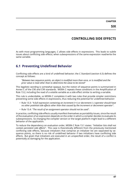**CHAPTER**

# **CONTROLLING SIDE EFFECTS**

<span id="page-51-0"></span>As with most programming languages, C allows side effects in expressions. This leads to subtle issues about conflicting side effects, when subexpressions of the same expression read/write the same variable.

# <span id="page-51-1"></span>**6.1 Preventing Undefined Behavior**

Conflicting side effects are a kind of undefined behavior; the C Standard (section 6.5) defines the concept as follows:

*"Between two sequence points, an object is modified more than once, or is modified and the prior value is read other than to determine the value to be stored"*

This legalistic wording is somewhat opaque, but the notion of sequence points is summarized in Annex C of the C90 and C99 standards. MISRA C repeats these conditions in the Amplification of Rule 13.2, including the read of a volatile variable as a side effect similar to writing a variable.

This rule is undecidable, so MISRA C completes it with two rules that provide simpler restrictions preventing some side effects in expressions, thus reducing the potential for undefined behavior:

- Rule 13.3: *"A full expression containing an increment (++) or decrement (--) operator should have no other potential side effects other than that caused by the increment or decrement operator"*.
- Rule 13.4: *"The result of an assignment operator should not be used"*.

In practice, conflicting side effects usually manifest themselves as portability issues, since the result of the evaluation of an expression depends on the order in which a compiler decides to evaluate its subexpressions. So changing the compiler version or the target platform might lead to a different behavior of the application.

To reduce the dependency on evaluation order, MISRA C Rule 13.1 states: *"Initializer lists shall not contain persistent side effects"*. This case is theoretically different from the previously mentioned conflicting side effects, because initializers that comprise an initializer list are separated by sequence points, so there is no risk of undefined behavior if two initializers have conflicting side effects. But given that initializers are executed in an unspecified order, the result of a conflict is potentially as damaging for the application.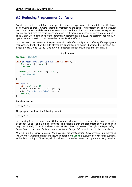# <span id="page-52-0"></span>**6.2 Reducing Programmer Confusion**

Even in cases with no undefined or unspecified behavior, expressions with multiple side effects can be confusing to programmers reading or maintaining the code. This problem arises in particular with C's increment and decrement operators that can be applied prior to or after the expression evaluation, and with the assignment operator  $=$  in C since it can easily be mistaken for equality. Thus MISRA C forbids the use of the increment / decrement (Rule 13.3) and assignment (Rule 13.4) operators in expressions that have other potential side effects.

In other cases, the presence of expressions with side effects might be confusing, if the programmer wrongly thinks that the side effects are guaranteed to occur. Consider the function decrease\_until\_one\_is\_null below, which decreases both arguments until one is null:

```
Listing 1: main.c
```

```
1 #include <stdio.h>
2
3 void decrease_until_one_is_null (int *x, int *y) {
4 if (x == 0 || y == 0) {
5 return;
6 }
7 while (-x^*x) = 0 & -x^*y = 0 {
8 // nothing
9 }
10 }
11
12 int main() {
13 int x = 42, y = 42;
14 decrease_until_one_is_null (&x, &y);
15 printf("x = %d, y = %d\n", x, y);
16 return 0;
17 \quad \}
```
### **Runtime output**

 $x = 0, y = 1$ 

The program produces the following output:

 $x = 0, v = 1$ 

I.e., starting from the same value 42 for both x and y, only x has reached the value zero after decrease until one is null returns. The reason is that the side effect on y is performed only conditionally. To avoid such surprises, MISRA C Rule 13.5 states: *"The right hand operand of a logical && or || operator shall not contain persistent side effects"*; this rule forbids the code above.

MISRA C Rule 13.6 similarly states: *"The operand of the sizeof operator shall not contain any expression which has potential side effects"*. Indeed, the operand of **sizeof** is evaluated only in rare situations, and only according to C99 rules, which makes any side effect in such an operand a likely mistake.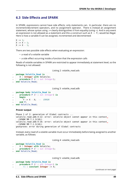# <span id="page-53-0"></span>**6.3 Side Effects and SPARK**

In SPARK, expressions cannot have side effects; only statements can. In particular, there are no increment/decrement operators, and no assignment operator. There is instead an assignment statement, whose syntax using := clearly distinguishes it from equality (using =). And in any event an expression is not allowed as a statement and this a construct such as  $X = Y$ ; would be illegal. Here is how a variable X can be assigned, incremented and decremented:

 $X := 1$ :  $X := X + 1;$  $X := X - 1;$ 

There are two possible side effects when evaluating an expression:

- a read of a volatile variable
- a side effect occurring inside a function that the expression calls

Reads of volatile variables in SPARK are restricted to appear immediately at statement level, so the following is not allowed:

Listing 2: volatile read.ads

```
1 package Volatile_Read is
2 X : Integer with Volatile;
3 procedure P (Y out Integer);
4 end Volatile_Read;
```
Listing 3: volatile\_read.adb

```
1 package body Volatile_Read is
2 procedure P (Y : out Integer) is
3 begin
4 Y := X - X; -- ERROR
5 end P;
 end Volatile Read;
```
### **Prover output**

```
Phase 1 of 2: generation of Global contracts ...
volatile read.adb:4:12: error: volatile object cannot appear in this context.
 ↪(SPARK RM 7.1.3(10))
volatile_read.adb:4:16: error: volatile object cannot appear in this context<sub>u</sub>
 ↪(SPARK RM 7.1.3(10))
gnatprove: error during generation of Global contracts
```
Instead, every read of a volatile variable must occur immediately before being assigned to another variable, as follows:

Listing 4: volatile read.ads

```
1 package Volatile_Read is
2 X : Integer with Volatile;
3 procedure P (Y : out Integer);
  end Volatile Read;
```
Listing 5: volatile\_read.adb

```
1 package body Volatile_Read is
2 procedure P (Y : out Integer) is
        3 X1 : constant Integer := X;
```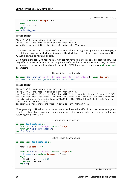```
4 X2 : constant Integer := X;
5 begin
6 Y := X1 - X2:
7 end P;
  8 end Volatile_Read;
```
### **Prover output**

```
Phase 1 of 2: generation of Global contracts ...
Phase 2 of 2: analysis of data and information flow ...
volatile_read.ads:3:17: info: initialization of "Y" proved
```
Note here that the order of capture of the volatile value of X might be significant. For example, X might denote a quantity which only increases, like clock time, so that the above expression X1 - X2 would always be negative or zero.

Even more significantly, functions in SPARK cannot have side effects; only procedures can. The only effect of a SPARK function is the computation of a result from its inputs, which may be passed as parameters or as global variables. In particular, SPARK functions cannot have **out** or **in out** parameters:

Listing 6: bad\_function.ads

```
1 function Bad_Function (X, Y : Integer; Sum, Max : out Integer) return Boolean;
2 -- ERROR, since "out" parameters are not allowed
```
### **Prover output**

```
Phase 1 of 2: generation of Global contracts ...
Phase 2 of 2: analysis of data and information flow ...
bad_function.ads:1:10: error: function with "out" parameter is not allowed in SPARK
bad_function.ads:1:10: error: violation of pragma SPARK_Mode at /vagrant/frontend/
↪dist/test_output/projects/Courses/SPARK_For_The_MISRA_C_Dev/Side_Effect/Function_
↪With_Out_Param/main.adc:12
gnatprove: error during analysis of data and information flow
```
More generally, SPARK does not allow functions that have a side effect in addition to returning their result, as is typical of many idioms in other languages, for example when setting a new value and returning the previous one:

Listing 7: bad\_functions.ads

```
1 package Bad_Functions is
2 function Set (V : Integer) return Integer;
3 function Get return Integer;
  end Bad Functions;
```
Listing 8: bad\_functions.adb

```
1 package body Bad_Functions is
2
3 Value : Integer := 0;
4
5 function Set (V : Integer) return Integer is
6 Previous : constant Integer := Value;
7 begin
8 Value := V; -- ERROR
9 return Previous;
10 end Set;
11
```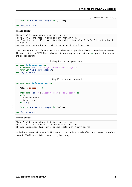```
12 function Get return Integer is (Value);
13
14 end Bad_Functions;
```
### **Prover output**

```
Phase 1 of 2: generation of Global contracts ...
Phase 2 of 2: analysis of data and information flow ...
bad_functions.ads:2:13: error: function with output global "Value" is not allowed<sub>u</sub>
↪in SPARK
gnatprove: error during analysis of data and information flow
```
GNATprove detects that function Set has a side effect on global variable Value and issues an error. The correct idiom in SPARK for such a case is to use a procedure with an **out** parameter to return the desired result:

Listing 9: ok\_subprograms.ads

```
1 package Ok_Subprograms is
2 procedure Set (V : Integer; Prev : out Integer);
3 function Get return Integer;
4 end Ok Subprograms;
```
Listing 10: ok\_subprograms.adb

```
1 package body Ok_Subprograms is
\overline{2}3 Value : Integer := 0;
4
5 procedure Set (V : Integer; Prev : out Integer) is
6 begin
7 Prev := Value;
8 Value := V;
9 end Set;
10
11 function Get return Integer is (Value);
1213 end Ok_Subprograms;
```
### **Prover output**

Phase 1 of 2: generation of Global contracts ... Phase 2 of 2: analysis of data and information flow ... ok\_subprograms.ads:2:32: info: initialization of "Prev" proved

With the above restrictions in SPARK, none of the conflicts of side effects that can occur in C can occur in SPARK, and this is guaranteed by flow analysis.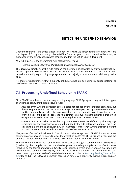# **DETECTING UNDEFINED BEHAVIOR**

Undefined behavior (and critical unspecified behavior, which we'll treat as undefined behavior) are the plague of C programs. Many rules in MISRA C are designed to avoid undefined behavior, as evidenced by the twenty occurrences of "undefined" in the MISRA C:2012 document.

MISRA C Rule 1.3 is the overarching rule, stating very simply:

*"There shall be no occurrence of undefined or critical unspecified behaviour."*

The deceptive simplicity of this rule rests on the definition of *undefined or critical unspecified behaviour*. Appendix H of MISRA:C 2012 lists hundreds of cases of undefined and critical unspecified behavior in the C programming language standard, a majority of which are not individually decidable.

It is therefore not surprising that a majority of MISRA C checkers do not make a serious attempt to verify compliance with MISRA C Rule 1.3.

# **7.1 Preventing Undefined Behavior in SPARK**

Since SPARK is a subset of the Ada programming language, SPARK programs may exhibit two types of undefined behaviors that can occur in Ada:

- *bounded error*: when the program enters a state not defined by the language semantics, but the consequences are bounded in various ways. For example, reading uninitialized data can lead to a bounded error, when the value read does not correspond to a valid value for the type of the object. In this specific case, the Ada Reference Manual states that either a predefined exception is raised or execution continues using the invalid representation.
- *erroneous execution*: when when the program enters a state not defined by the language semantics, but the consequences are not bounded by the Ada Reference Manual. This is the closest to an undefined behavior in C. For example, concurrently writing through different tasks to the same unprotected variable is a case of erroneous execution.

Many cases of undefined behavior in C would in fact raise exceptions in SPARK. For example, accessing an array beyond its bounds raises the exception Constraint\_Error while reaching the end of a function without returning a value raises the exception Program\_Error.

The SPARK Reference Manual defines the SPARK subset through a combination of *legality rules* (checked by the compiler, or the compiler-like phase preceding analysis) and *verification rules* (checked by the formal analysis tool GNATprove). Bounded errors and erroneous execution are prevented by a combination of legality rules and the *flow analysis* part of GNATprove, which in particular detects potential reads of uninitialized data, as described in *Detecting Reads of Uninitialized Data* (page 39). The following discussion focuses on how SPARK can verify that no exceptions can be raised.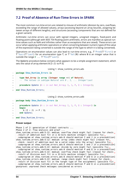# **7.2 Proof of Absence of Run-Time Errors in SPARK**

The most common run-time errors are related to misuse of arithmetic (division by zero, overflows, exceeding the range of allowed values), arrays (accessing beyond an array bounds, assigning between arrays of different lengths), and structures (accessing components that are not defined for a given variant).

Arithmetic run-time errors can occur with signed integers, unsigned integers, fixed-point and floating-point (although with IEEE 754 floating-point arithmetic, errors are manifest as special runtime values such as NaN and infinities rather than as exceptions that are raised). These errors can occur when applying arithmetic operations or when converting between numeric types (if the value of the expression being converted is outside the range of the type to which it is being converted).

Operations on enumeration values can also lead to run-time errors; e.g., T'Pred(T'First) or T'Succ(T'Last) for an enumeration type T, or T'Val(N) where N is an integer value that is outside the range 0 .. T'Pos(T'Last).

The Update procedure below contains what appears to be a simple assignment statement, which sets the value of array element  $A(I+J)$  to  $P/Q$ .

```
Listing 1: show runtime errors.ads
```

```
1 package Show_Runtime_Errors is
\overline{2}3 type Nat_Array is array (Integer range <>) of Natural;
4 -- The values in subtype Natural are 0 , 1, ... Integer'Last
5
6 procedure Update (A : in out Nat_Array; I, J, P, Q : Integer);
7
8 end Show Runtime Errors;
```
Listing 2: show\_runtime\_errors.adb

```
1 package body Show_Runtime_Errors is
\overline{2}3 procedure Update (A : in out Nat_Array; I, J, P, Q : Integer) is
4 begin
5 A (I + J) := P / Q;
6 end Update;
7
  8 end Show_Runtime_Errors;
```
### **Prover output**

Phase 1 of 2: generation of Global contracts ... Phase 2 of 2: flow analysis and proof ... show\_runtime\_errors.adb:5:12: medium: overflow check might fail [reason for check: ↪result of addition must fit in a 32-bits machine integer] [possible fix:␣ ↪subprogram at show\_runtime\_errors.ads:6 should mention I and J in a precondition] show runtime\_errors.adb:5:12: medium: array index check might fail [reason for  $\Rightarrow$   $\Rightarrow$  check: result of addition must be a valid index into the array] [possible fix: ↪subprogram at show\_runtime\_errors.ads:6 should mention I and J in a precondition] show runtime errors.adb:5:22: medium: divide by zero might fail [possible fix:.. ↪subprogram at show\_runtime\_errors.ads:6 should mention P and Q in a precondition] show runtime errors.adb:5:22: medium: overflow check might fail [reason for check:.. ↪result of division must fit in a 32-bits machine integer] [possible fix:␣ ↪subprogram at show\_runtime\_errors.ads:6 should mention P and Q in a precondition] show runtime errors.adb:5:22: medium: range check might fail [reason for check:. ↪result of division must fit in the target type of the assignment] [possible fix:␣ ↪subprogram at show\_runtime\_errors.ads:6 should mention P and Q in a precondition] gnatprove: unproved check messages considered as errors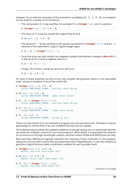However, for an arbitrary invocation of this procedure, say Update (A, I, J, P, 0), an exception can be raised in a variety of circumstances:

• The computation I+J may overflow, for example if I is **Integer**'Last and J is positive.

A (**Integer**'Last + 1) := P / Q;

• The value of I+J may be outside the range of the array A.

A  $(A'Last + 1) := P / 0$ :

• The division P / Q may overflow in the special case where P is **Integer**'First and Q is -1, because of the asymmetric range of signed integer types.

A  $(I + J) := Integer 'First / -1;$ 

• Since the array can only contain non-negative numbers (the element subtype is **Natural**), it is also an error to store a negative value in it.

A  $(I + J) := 1 / -1;$ 

• Finally, if Q is 0 then a divide by zero error will occur.

A  $(I + J) := P / \theta$ ;

For each of these potential run-time errors, the compiler will generate checks in the executable code, raising an exception if any of the checks fail:

```
A (Integer'Last + 1) := P / Q;
-- raised CONSTRAINT_ERROR : overflow check failed
A (A' Last + 1) := P / 0:
-- raised CONSTRAINT_ERROR : index check failed
A (I + J) := Integer'First / (-1);
-- raised CONSTRAINT_ERROR : overflow check failed
A (I + J) := 1 / (-1);
-- raised CONSTRAINT_ERROR : range check failed
A (I + J) := P / \theta;
-- raised CONSTRAINT_ERROR : divide by zero
```
These run-time checks incur an overhead in program size and execution time. Therefore it may be appropriate to remove them if we are confident that they are not needed.

The traditional way to obtain the needed confidence is through testing, but it is well known that this can never be complete, at least for non-trivial programs. Much better is to guarantee the absence of run-time errors through sound static analysis, and that's where SPARK and GNATprove can help.

More precisely, GNATprove logically interprets the meaning of every instruction in the program, taking into account both control flow and data/information dependencies. It uses this analysis to generate a logical formula called a *verification condition* for each possible check.

```
A (Integer'Last + 1) := P / Q;
-- medium: overflow check might fail
A (A' Last + 1) := P / Q;
-- medium: array index check might fail
A (I + J) := \text{Integer}' First / (-1);
-- medium: overflow check might fail
```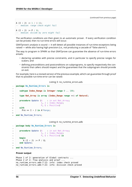```
A (I + J) := 1 / (-1);
-- medium: range check might fail
A (I + J) := P / \theta;
-- medium: divide by zero might fail
```
The verification conditions are then given to an automatic prover. If every verification condition can be proved, then no run-time errors will occur.

GNATprove's analysis is sound — it will detect all possible instances of run-time exceptions being raised — while also having high precision (i.e., not producing a cascade of "false alarms").

The way to program in SPARK so that GNATprove can guarantee the absence of run-time errors entails:

- declaring variables with precise constraints, and in particular to specify precise ranges for scalars; and
- defining preconditions and postconditions on subprograms, to specify respectively the constraints that callers should respect and the guarantees that the subprogram should provide on exit.

For example, here is a revised version of the previous example, which can guarantee through proof that no possible run-time error can be raised:

Listing 3: no\_runtime\_errors.ads

```
1 package No_Runtime_Errors is
\overline{2}3 subtype Index_Range is Integer range 0 .. 100;
4
5 type Nat_Array is array (Index_Range range <>) of Natural;
6
<sup>7</sup> procedure Update (A : in out Nat Array;
8 I, J : Index Range;
9 P, Q : Positive)
10 with
11 Pre \Rightarrow I + J in A'Range;
12
13 end No Runtime Errors;
```
Listing 4: no\_runtime\_errors.adb

```
1 package body No_Runtime_Errors is
\overline{2}3 procedure Update (A : in out Nat Array;
4 I, J : Index Range;
5 P, Q : Positive) is
6 begin
7 A (I + J) := P / Q;8 end Update;
9
10 end No_Runtime_Errors;
```
### **Prover output**

```
Phase 1 of 2: generation of Global contracts ...
Phase 2 of 2: flow analysis and proof ...
no_runtime_errors.adb:7:12: info: index check proved
no_runtime_errors.adb:7:22: info: division check proved
```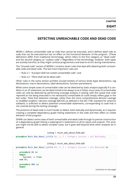# <span id="page-61-0"></span>**DETECTING UNREACHABLE CODE AND DEAD CODE**

MISRA C defines *unreachable code* as code that cannot be executed, and it defines *dead code* as code that can be executed but has no effect on the functional behavior of the program. (These definitions differ from traditional terminology, which refers to the first category as "dead code" and the second category as "useless code".) Regardless of the terminology, however, both types are actively harmful, as they might confuse programmers and lead to errors during maintenance.

The "Unused code" section of MISRA C contains seven rules that deal with detecting both unreachable code and dead code. The two most important rules are:

- Rule 2.1: *"A project shall not contain unreachable code"*, and
- Rule 2.2: *"There shall not be dead code"*.

Other rules in the same section prohibit unused entities of various kinds (type declarations, tag declarations, macro declarations, label declarations, function parameters).

While some simple cases of unreachable code can be detected by static analysis (typically if a condition in an **if** statement can be determined to be always true or false), most cases of unreachable code can only be detected by performing coverage analysis in testing, with the caveat that code reported as not being executed is not necessarily unreachable (it could simply reflect gaps in the test suite). Note that *statement coverage*, rather than the more comprehensive *decision coverage* or *modified condition / decision coverage* (MC/DC) as defined in the DO-178C standard for airborne software, is sufficient to detect potential unreachable statements, corresponding to code that is not covered during the testing campaign.

The presence of dead code is much harder to detect, both statically and dynamically, as it requires creating a complete dependency graph linking statements in the code and their effect on visible behavior of the program.

SPARK can detect some cases of both unreachable and dead code through its precise construction of a dependency graph linking a subprogram's statements to all its inputs and outputs. This analysis might not be able to detect complex cases, but it goes well beyond what other analyses do in general.

Listing 1: much ado about little.ads

```
procedure Much Ado About Little (X, Y, Z : Integer; Success : out Boolean);
```
Listing 2: much ado about little.adb

```
1 procedure Much_Ado_About_Little (X, Y, Z : Integer; Success : out Boolean) is
\overline{2}3 procedure Ok is
4 begin
5 Success := True;
6 end Ok;
7
8 procedure NOk is
      9 begin
                                                                      (continues on next page)
```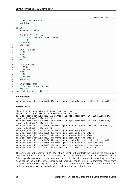```
10 Success := False;
11 end NOk;
1213 begin
14 Success := False;
15
16 for K in Y .. Z loop
17 if K < X and not Success then
18 Ok;
19 end if;
20 end loop;
21
22 if X > Y then
23 Ok;
24 else
25 NOk;
26 end if;
27
28 if 7 > Y then
29 NOk:
30 return;
31 else
32 Ok;
33 return;
34 end if;
35
36 if Success then
37 Success := not Success;
38 end if;
39 end Much_Ado_About_Little;
```
### **Build output**

much ado about little.adb:36:04: warning: unreachable code [enabled by default]

### **Prover output**

```
Phase 1 of 2: generation of Global contracts ...
Phase 2 of 2: analysis of data and information flow ...
much ado about little.adb:5:15: warning: unused assignment, in call inlined at.
↪much_ado_about_little.adb:18
much ado about little.adb:5:15: warning: unused assignment, in call inlined at.
↪much_ado_about_little.adb:23
much ado about little.adb:10:15: warning: unused assignment, in call inlined at.
↪much_ado_about_little.adb:25
much ado about little.adb:14:12: warning: unused assignment
much ado about little.adb:16:20: warning: statement has no effect
much ado about little.adb:17:07: warning: statement has no effect
much ado about little.adb:22:04: warning: statement has no effect
much ado about little.adb:36:04: warning: unreachable code [enabled by default]
much ado about little.adb:36:04: warning: this statement is never reached
much ado about little.adb:37:15: warning: this statement is never reached
much ado about little.ads:1:34: warning: unused initial value of "X"
```
The only code in the body of Much Ado About Little that affects the result of the procedure's execution is the **if** Z > Y... statement, since this statement sets Success to either True or False regardless of what the previous statements did. I.e., the statements preceding this **if** are dead code in the MISRA C sense. Since both branches of the **if** Z > Y... statement return from the procedure, the subsequent **if** Success... statement is unreachable. GNATprove detects and issues warnings about both the dead code and the unreachable code.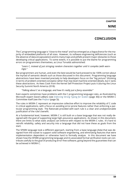# **CONCLUSION**

<span id="page-63-0"></span>The C programming language is "close to the metal" and has emerged as a *lingua franca* for the majority of embedded platforms of all sizes. However, its software engineering deficiencies (such as the absence of data encapsulation) and its many traps and pitfalls present major obstacles to those developing critical applications. To some extent, it is possible to put the blame for programming errors on programmers themselves, as Linus Torvalds admonished:

### *"Learn C, instead of just stringing random characters together until it compiles (with warnings)."*

But programmers are human, and even the best would be hard pressed to be 100% correct about the myriad of semantic details such as those discussed in this document. Programming language abstractions have been invented precisely to help developers focus on the "big picture" (thinking in terms of problem-oriented concepts) rather than low-level machine-oriented details, but C lacks these abstractions. As Kees Cook from the Kernel Self Protection Project puts it (during the Linux Security Summit North America 2018):

### *"Talking about C as a language, and how it's really just a fancy assembler"*

Even experts sometimes have problems with the C programming language rules, as illustrated by Microsoft expert David LeBlanc (see *Enforcing Strong Typing for Scalars* (page 30)) or the MISRA C Committee itself (see the *Preface* (page 3)).

The rules in MISRA C represent an impressive collective effort to improve the reliability of C code in critical applications, with a focus on avoiding error-prone features rather than enforcing a particular programming style. The Rati[onale provided with each rule is a](#page-34-0) clear and unobjectionable justification of the rule's [benefit.](#page-7-0)

At a fundamental level, however, MISRA C is still built on a base language that was not really designed with the goal of supporting large high-assurance applications. As shown in this document, there are limits to what static analysis can enforce with respect to the MISRA C rules. It's hard to retrofit reliability, safety and security into a language that did not have these as goals from the start.

The SPARK language took a different approach, starting from a base language (Ada) that was designed from the outset to support solid software engineering, and eliminating features that were implementation dependent or otherwise hard to formally analyze. In this document we have shown how the SPARK programming language and its associated formal verification tools can contribute usefully to the goal of producing error-free software, going beyond the guarantees that can be achieved in MISRA C.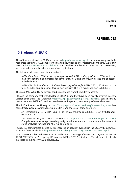**TEN**

# **REFERENCES**

# **10.1 About MISRA C**

The official website of the MISRA association https://www.misra.org.uk/ has many freely available resources about MISRA C, some of which can be downloaded after registering on the MISRA Bulletin Board at https://www.misra.org.uk/forum/ (such as the examples from the MISRA C:2012 standard, which includes a one-line description of each guideline).

The following documents are freely available[:](https://www.misra.org.uk/)

- *MIS[RA Compliance 2016: Achieving co](https://www.misra.org.uk/forum/)mpliance with MISRA coding guidelines*, 2016, which explains the rationale and process for compliance, including a thorough discussions of acceptable deviations
- *MISRA C:2012 Amendment 1: Additional security guidelines for MISRA C:2012*, 2016, which contains 14 additional guidelines focusing on security. This is a minor addition to MISRA C.

The main MISRA C:2012 document can be purchased from the MISRA webstore.

PRQA is the company that first developed MISRA C, and they have been heavily involved in every version since then. Their webpage http://www.prqa.com/coding-standards/misra/ contains many resources about MISRA C: product datasheets, white papers, webinars, professional courses.

The PRQA Resources Library at http://info.prqa.com/resources-library?filter=white\_paper has some freely available white papers [on MISRA C and the use of static analyzers:](http://www.prqa.com/coding-standards/misra/)

- An introduction to MISRA C:2012 at http://info.prqa.com/MISRA C-2012-whitepaperevaluation-lp
- *The Myth of Perfect MISRA Compliance* at [http://info.prqa.com/myth-of-perfect-M](http://info.prqa.com/resources-library?filter=white_paper)ISRA Compliance-evaluation-lp, providing background information on the use and limitations of static analyzers for checking MISRA C compliance

In 2013 ISO standardized a set of 45 rules focused on security, available in the *C Secure Coding Rules*. A draft is freely available at http://www.open-std.org[/jtc1/sc22/wg14/www/docs/n1624.pdf](http://info.prqa.com/myth-of-perfect-MISRA)

In 2018 MISRA published *MISRA C:2012 - Addendum 2: Coverage of MISRA C:2012 against ISO/IEC TS 17961:2013 "C Secure"*, mapping ISO rules to MISRA C:2012 guidelines. This document is freely available from https://www[.misra.org.uk/.](http://www.open-std.org/jtc1/sc22/wg14/www/docs/n1624.pdf)